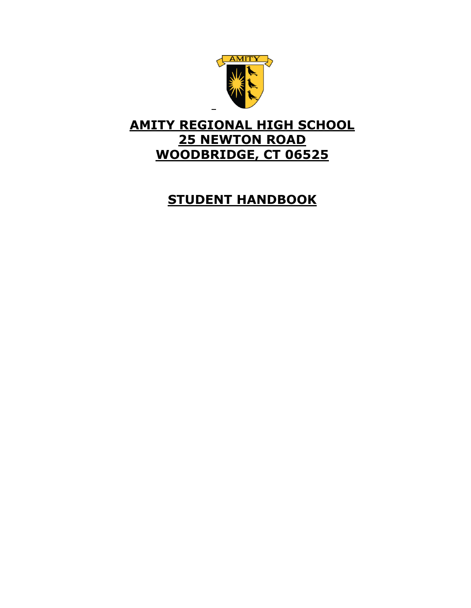

# **AMITY REGIONAL HIGH SCHOOL 25 NEWTON ROAD WOODBRIDGE, CT 06525**

# **STUDENT HANDBOOK**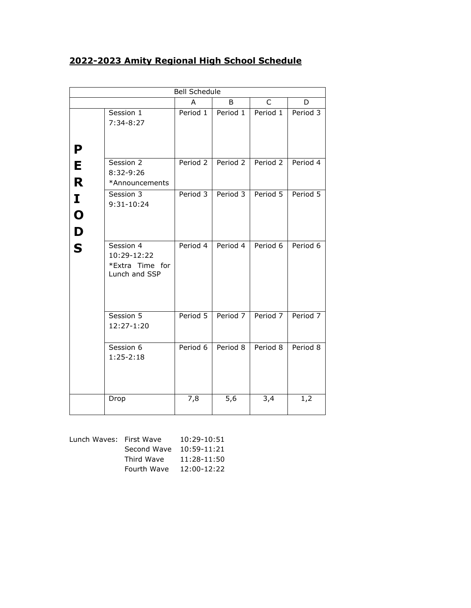# **2022-2023 Amity Regional High School Schedule**

|                         |                                                              | <b>Bell Schedule</b> |                   |              |          |
|-------------------------|--------------------------------------------------------------|----------------------|-------------------|--------------|----------|
|                         |                                                              | A                    | B                 | $\mathsf{C}$ | D        |
| P                       | Session 1<br>$7:34-8:27$                                     | Period 1             | Period 1          | Period 1     | Period 3 |
| E<br>R                  | Session 2<br>8:32-9:26<br>*Announcements                     |                      | Period 2 Period 2 | Period 2     | Period 4 |
| I<br>$\mathbf O$<br>D   | Session 3<br>9:31-10:24                                      | Period 3             | Period 3          | Period 5     | Period 5 |
| $\overline{\mathbf{S}}$ | Session 4<br>10:29-12:22<br>*Extra Time for<br>Lunch and SSP | Period 4             | Period 4          | Period 6     | Period 6 |
|                         | Session 5<br>12:27-1:20                                      | Period 5             | Period 7          | Period 7     | Period 7 |
|                         | Session 6<br>$1:25 - 2:18$                                   | Period 6             | Period 8          | Period 8     | Period 8 |
|                         | Drop                                                         | 7,8                  | 5,6               | 3,4          | 1,2      |

| Lunch Waves: First Wave |             | 10:29-10:51 |
|-------------------------|-------------|-------------|
|                         | Second Wave | 10:59-11:21 |
|                         | Third Wave  | 11:28-11:50 |
|                         | Fourth Wave | 12:00-12:22 |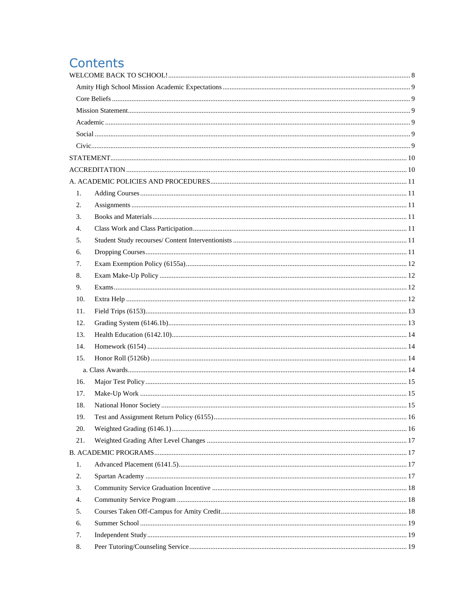# Contents

| 1.  |  |
|-----|--|
| 2.  |  |
| 3.  |  |
| 4.  |  |
| 5.  |  |
| 6.  |  |
| 7.  |  |
| 8.  |  |
| 9.  |  |
| 10. |  |
| 11. |  |
| 12. |  |
| 13. |  |
| 14. |  |
| 15. |  |
|     |  |
| 16. |  |
| 17. |  |
| 18. |  |
| 19. |  |
| 20. |  |
| 21. |  |
|     |  |
| 1.  |  |
| 2.  |  |
| 3.  |  |
| 4.  |  |
| 5.  |  |
| 6.  |  |
| 7.  |  |
| 8.  |  |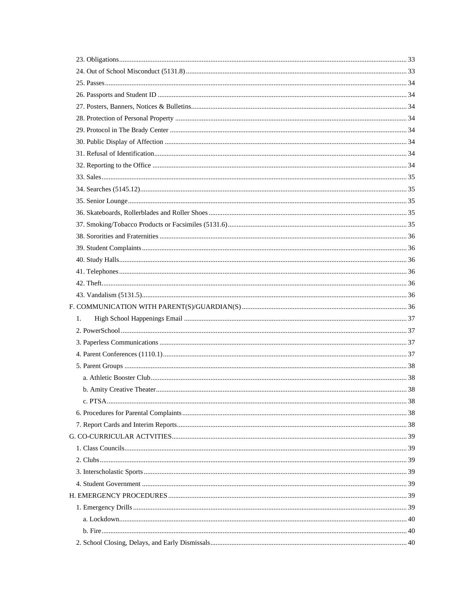| 1. |  |
|----|--|
|    |  |
|    |  |
|    |  |
|    |  |
|    |  |
|    |  |
|    |  |
|    |  |
|    |  |
|    |  |
|    |  |
|    |  |
|    |  |
|    |  |
|    |  |
|    |  |
|    |  |
|    |  |
|    |  |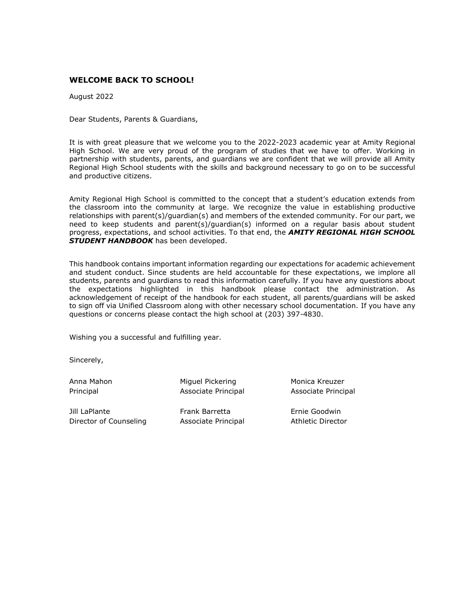# <span id="page-7-0"></span>**WELCOME BACK TO SCHOOL!**

August 2022

Dear Students, Parents & Guardians,

It is with great pleasure that we welcome you to the 2022-2023 academic year at Amity Regional High School. We are very proud of the program of studies that we have to offer. Working in partnership with students, parents, and guardians we are confident that we will provide all Amity Regional High School students with the skills and background necessary to go on to be successful and productive citizens.

Amity Regional High School is committed to the concept that a student's education extends from the classroom into the community at large. We recognize the value in establishing productive relationships with parent(s)/guardian(s) and members of the extended community. For our part, we need to keep students and parent(s)/guardian(s) informed on a regular basis about student progress, expectations, and school activities. To that end, the *AMITY REGIONAL HIGH SCHOOL STUDENT HANDBOOK* has been developed.

This handbook contains important information regarding our expectations for academic achievement and student conduct. Since students are held accountable for these expectations, we implore all students, parents and guardians to read this information carefully. If you have any questions about the expectations highlighted in this handbook please contact the administration. As acknowledgement of receipt of the handbook for each student, all parents/guardians will be asked to sign off via Unified Classroom along with other necessary school documentation. If you have any questions or concerns please contact the high school at (203) 397-4830.

Wishing you a successful and fulfilling year.

Sincerely,

Anna Mahon **Miguel Pickering** Monica Kreuzer Principal Associate Principal Associate Principal

Jill LaPlante Frank Barretta Ernie Goodwin Director of Counseling Associate Principal Athletic Director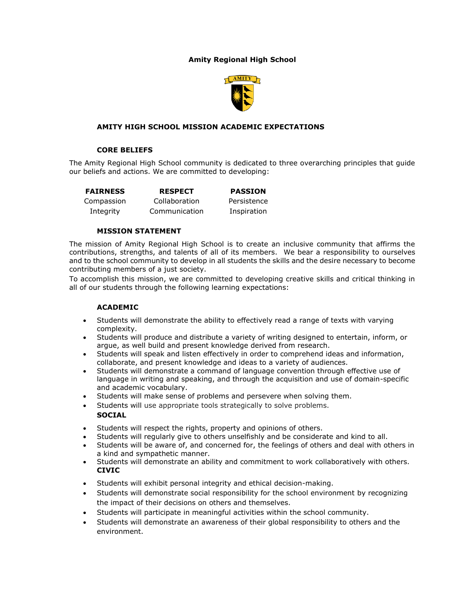# **Amity Regional High School**



## <span id="page-8-0"></span>**AMITY HIGH SCHOOL MISSION ACADEMIC EXPECTATIONS**

## **CORE BELIEFS**

<span id="page-8-1"></span>The Amity Regional High School community is dedicated to three overarching principles that guide our beliefs and actions. We are committed to developing:

**FAIRNESS** Compassion Integrity **RESPECT** Collaboration Communication **PASSION** Persistence Inspiration

#### **MISSION STATEMENT**

<span id="page-8-2"></span>The mission of Amity Regional High School is to create an inclusive community that affirms the contributions, strengths, and talents of all of its members. We bear a responsibility to ourselves and to the school community to develop in all students the skills and the desire necessary to become contributing members of a just society.

To accomplish this mission, we are committed to developing creative skills and critical thinking in all of our students through the following learning expectations:

#### **ACADEMIC**

- <span id="page-8-3"></span>• Students will demonstrate the ability to effectively read a range of texts with varying complexity.
- Students will produce and distribute a variety of writing designed to entertain, inform, or argue, as well build and present knowledge derived from research.
- Students will speak and listen effectively in order to comprehend ideas and information, collaborate, and present knowledge and ideas to a variety of audiences.
- Students will demonstrate a command of language convention through effective use of language in writing and speaking, and through the acquisition and use of domain-specific and academic vocabulary.
- Students will make sense of problems and persevere when solving them.
- <span id="page-8-4"></span>• Students will use appropriate tools strategically to solve problems. **SOCIAL**
- Students will respect the rights, property and opinions of others.
- Students will regularly give to others unselfishly and be considerate and kind to all.
- Students will be aware of, and concerned for, the feelings of others and deal with others in a kind and sympathetic manner.
- <span id="page-8-5"></span>• Students will demonstrate an ability and commitment to work collaboratively with others. **CIVIC**
- Students will exhibit personal integrity and ethical decision-making.
- Students will demonstrate social responsibility for the school environment by recognizing the impact of their decisions on others and themselves.
- Students will participate in meaningful activities within the school community.
- Students will demonstrate an awareness of their global responsibility to others and the environment.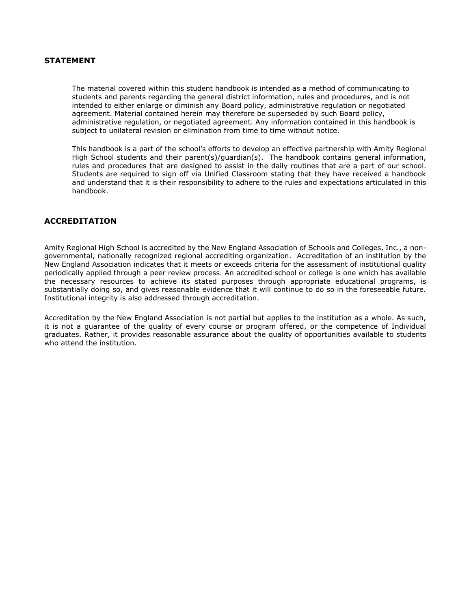# <span id="page-9-0"></span>**STATEMENT**

The material covered within this student handbook is intended as a method of communicating to students and parents regarding the general district information, rules and procedures, and is not intended to either enlarge or diminish any Board policy, administrative regulation or negotiated agreement. Material contained herein may therefore be superseded by such Board policy, administrative regulation, or negotiated agreement. Any information contained in this handbook is subject to unilateral revision or elimination from time to time without notice.

This handbook is a part of the school's efforts to develop an effective partnership with Amity Regional High School students and their parent(s)/guardian(s). The handbook contains general information, rules and procedures that are designed to assist in the daily routines that are a part of our school. Students are required to sign off via Unified Classroom stating that they have received a handbook and understand that it is their responsibility to adhere to the rules and expectations articulated in this handbook.

## <span id="page-9-1"></span>**ACCREDITATION**

Amity Regional High School is accredited by the New England Association of Schools and Colleges, Inc., a nongovernmental, nationally recognized regional accrediting organization. Accreditation of an institution by the New England Association indicates that it meets or exceeds criteria for the assessment of institutional quality periodically applied through a peer review process. An accredited school or college is one which has available the necessary resources to achieve its stated purposes through appropriate educational programs, is substantially doing so, and gives reasonable evidence that it will continue to do so in the foreseeable future. Institutional integrity is also addressed through accreditation.

Accreditation by the New England Association is not partial but applies to the institution as a whole. As such, it is not a guarantee of the quality of every course or program offered, or the competence of Individual graduates. Rather, it provides reasonable assurance about the quality of opportunities available to students who attend the institution.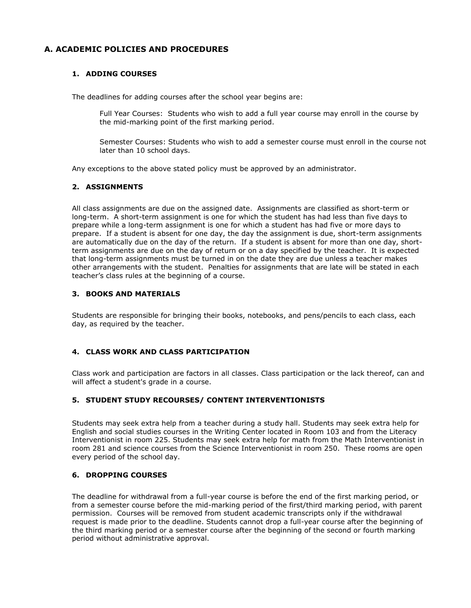# <span id="page-10-1"></span><span id="page-10-0"></span>**A. ACADEMIC POLICIES AND PROCEDURES**

# **1. ADDING COURSES**

The deadlines for adding courses after the school year begins are:

Full Year Courses: Students who wish to add a full year course may enroll in the course by the mid-marking point of the first marking period.

Semester Courses: Students who wish to add a semester course must enroll in the course not later than 10 school days.

Any exceptions to the above stated policy must be approved by an administrator.

## <span id="page-10-2"></span>**2. ASSIGNMENTS**

All class assignments are due on the assigned date. Assignments are classified as short-term or long-term. A short-term assignment is one for which the student has had less than five days to prepare while a long-term assignment is one for which a student has had five or more days to prepare. If a student is absent for one day, the day the assignment is due, short-term assignments are automatically due on the day of the return. If a student is absent for more than one day, shortterm assignments are due on the day of return or on a day specified by the teacher. It is expected that long-term assignments must be turned in on the date they are due unless a teacher makes other arrangements with the student. Penalties for assignments that are late will be stated in each teacher's class rules at the beginning of a course.

## <span id="page-10-3"></span>**3. BOOKS AND MATERIALS**

Students are responsible for bringing their books, notebooks, and pens/pencils to each class, each day, as required by the teacher.

## <span id="page-10-4"></span>**4. CLASS WORK AND CLASS PARTICIPATION**

Class work and participation are factors in all classes. Class participation or the lack thereof, can and will affect a student's grade in a course.

## <span id="page-10-5"></span>**5. STUDENT STUDY RECOURSES/ CONTENT INTERVENTIONISTS**

Students may seek extra help from a teacher during a study hall. Students may seek extra help for English and social studies courses in the Writing Center located in Room 103 and from the Literacy Interventionist in room 225. Students may seek extra help for math from the Math Interventionist in room 281 and science courses from the Science Interventionist in room 250. These rooms are open every period of the school day.

#### <span id="page-10-6"></span>**6. DROPPING COURSES**

The deadline for withdrawal from a full-year course is before the end of the first marking period, or from a semester course before the mid-marking period of the first/third marking period, with parent permission. Courses will be removed from student academic transcripts only if the withdrawal request is made prior to the deadline. Students cannot drop a full-year course after the beginning of the third marking period or a semester course after the beginning of the second or fourth marking period without administrative approval.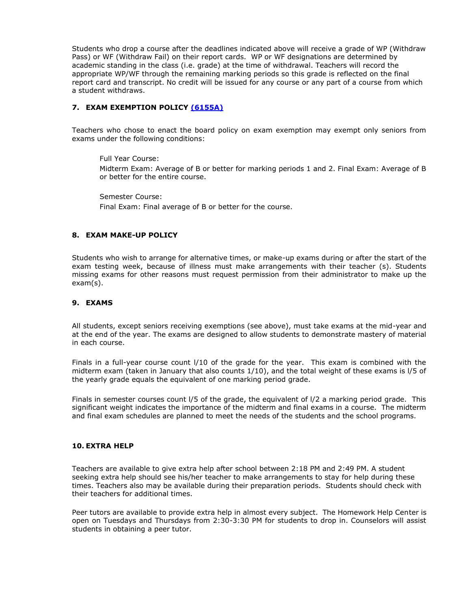Students who drop a course after the deadlines indicated above will receive a grade of WP (Withdraw Pass) or WF (Withdraw Fail) on their report cards. WP or WF designations are determined by academic standing in the class (i.e. grade) at the time of withdrawal. Teachers will record the appropriate WP/WF through the remaining marking periods so this grade is reflected on the final report card and transcript. No credit will be issued for any course or any part of a course from which a student withdraws.

## <span id="page-11-0"></span>**7. EXAM EXEMPTION POLICY [\(6155A\)](https://resources.finalsite.net/images/v1563719312/amityregion5org/ioliardyoutkhjesyrn1/instruction_6000_6155_ClassExams.pdf)**

Teachers who chose to enact the board policy on exam exemption may exempt only seniors from exams under the following conditions:

Full Year Course: Midterm Exam: Average of B or better for marking periods 1 and 2. Final Exam: Average of B or better for the entire course.

Semester Course: Final Exam: Final average of B or better for the course.

## <span id="page-11-1"></span>**8. EXAM MAKE-UP POLICY**

Students who wish to arrange for alternative times, or make-up exams during or after the start of the exam testing week, because of illness must make arrangements with their teacher (s). Students missing exams for other reasons must request permission from their administrator to make up the exam(s).

## <span id="page-11-2"></span>**9. EXAMS**

All students, except seniors receiving exemptions (see above), must take exams at the mid-year and at the end of the year. The exams are designed to allow students to demonstrate mastery of material in each course.

Finals in a full-year course count l/10 of the grade for the year. This exam is combined with the midterm exam (taken in January that also counts 1/10), and the total weight of these exams is l/5 of the yearly grade equals the equivalent of one marking period grade.

Finals in semester courses count l/5 of the grade, the equivalent of l/2 a marking period grade. This significant weight indicates the importance of the midterm and final exams in a course. The midterm and final exam schedules are planned to meet the needs of the students and the school programs.

#### <span id="page-11-3"></span>**10. EXTRA HELP**

Teachers are available to give extra help after school between 2:18 PM and 2:49 PM. A student seeking extra help should see his/her teacher to make arrangements to stay for help during these times. Teachers also may be available during their preparation periods. Students should check with their teachers for additional times.

Peer tutors are available to provide extra help in almost every subject. The Homework Help Center is open on Tuesdays and Thursdays from 2:30-3:30 PM for students to drop in. Counselors will assist students in obtaining a peer tutor.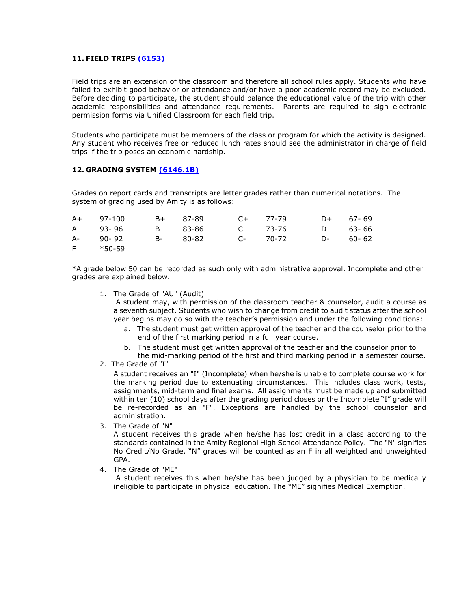## <span id="page-12-0"></span>**11. FIELD TRIPS [\(6153\)](https://resources.finalsite.net/images/v1579795775/amityregion5org/hxdeushp5reas8hhr8zb/instruction_6000_6153_FieldTrips.pdf)**

Field trips are an extension of the classroom and therefore all school rules apply. Students who have failed to exhibit good behavior or attendance and/or have a poor academic record may be excluded. Before deciding to participate, the student should balance the educational value of the trip with other academic responsibilities and attendance requirements. Parents are required to sign electronic permission forms via Unified Classroom for each field trip.

Students who participate must be members of the class or program for which the activity is designed. Any student who receives free or reduced lunch rates should see the administrator in charge of field trips if the trip poses an economic hardship.

#### <span id="page-12-1"></span>**12. GRADING SYSTEM [\(6146.1B\)](https://resources.finalsite.net/images/v1563719312/amityregion5org/uglle8euaj6yuxyyci6u/instruction_6000_6146_1_Grading.pdf)**

Grades on report cards and transcripts are letter grades rather than numerical notations. The system of grading used by Amity is as follows:

| A+ 97-100 | B+ 87-89 | $C_{+}$ 77-79           | D+ 67-69 |
|-----------|----------|-------------------------|----------|
| A 93-96   |          | B 83-86 C 73-76 D 63-66 |          |
| A- 90-92  |          |                         |          |
| F *50-59  |          |                         |          |

\*A grade below 50 can be recorded as such only with administrative approval. Incomplete and other grades are explained below.

1. The Grade of "AU" (Audit)

A student may, with permission of the classroom teacher & counselor, audit a course as a seventh subject. Students who wish to change from credit to audit status after the school year begins may do so with the teacher's permission and under the following conditions:

- a. The student must get written approval of the teacher and the counselor prior to the end of the first marking period in a full year course.
- b. The student must get written approval of the teacher and the counselor prior to the mid-marking period of the first and third marking period in a semester course.
- 2. The Grade of "I"

A student receives an "I" (Incomplete) when he/she is unable to complete course work for the marking period due to extenuating circumstances. This includes class work, tests, assignments, mid-term and final exams. All assignments must be made up and submitted within ten (10) school days after the grading period closes or the Incomplete "I" grade will be re-recorded as an "F". Exceptions are handled by the school counselor and administration.

3. The Grade of "N"

A student receives this grade when he/she has lost credit in a class according to the standards contained in the Amity Regional High School Attendance Policy. The "N" signifies No Credit/No Grade. "N" grades will be counted as an F in all weighted and unweighted GPA.

4. The Grade of "ME"

A student receives this when he/she has been judged by a physician to be medically ineligible to participate in physical education. The "ME" signifies Medical Exemption.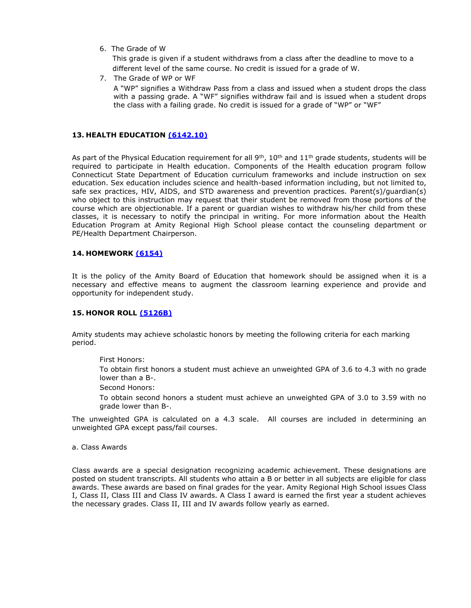6. The Grade of W

This grade is given if a student withdraws from a class after the deadline to move to a different level of the same course. No credit is issued for a grade of W.

7. The Grade of WP or WF

A "WP" signifies a Withdraw Pass from a class and issued when a student drops the class with a passing grade. A "WF" signifies withdraw fail and is issued when a student drops the class with a failing grade. No credit is issued for a grade of "WP" or "WF"

## <span id="page-13-0"></span>**13. HEALTH EDUCATION [\(6142.10\)](https://resources.finalsite.net/images/v1563719311/amityregion5org/imehqlyvist4xgbrzosl/instruction_6000_6142_101_Nutrition.pdf)**

As part of the Physical Education requirement for all  $9<sup>th</sup>$ , 10<sup>th</sup> and 11<sup>th</sup> grade students, students will be required to participate in Health education. Components of the Health education program follow Connecticut State Department of Education curriculum frameworks and include instruction on sex education. Sex education includes science and health-based information including, but not limited to, safe sex practices, HIV, AIDS, and STD awareness and prevention practices. Parent(s)/guardian(s) who object to this instruction may request that their student be removed from those portions of the course which are objectionable. If a parent or guardian wishes to withdraw his/her child from these classes, it is necessary to notify the principal in writing. For more information about the Health Education Program at Amity Regional High School please contact the counseling department or PE/Health Department Chairperson.

## <span id="page-13-1"></span>**14. HOMEWORK [\(6154\)](https://resources.finalsite.net/images/v1563719312/amityregion5org/f6fx2pvanjwnovoskpfp/instruction_6000_6154_Homework.pdf)**

It is the policy of the Amity Board of Education that homework should be assigned when it is a necessary and effective means to augment the classroom learning experience and provide and opportunity for independent study.

#### <span id="page-13-2"></span>**15. HONOR ROLL [\(5126B\)](https://resources.finalsite.net/images/v1569519938/amityregion5org/dtdais01pdpo6v5x5q7p/P5126AwardsforAchievement06102019.pdf)**

Amity students may achieve scholastic honors by meeting the following criteria for each marking period.

First Honors:

To obtain first honors a student must achieve an unweighted GPA of 3.6 to 4.3 with no grade lower than a B-.

Second Honors:

To obtain second honors a student must achieve an unweighted GPA of 3.0 to 3.59 with no grade lower than B-.

The unweighted GPA is calculated on a 4.3 scale. All courses are included in determining an unweighted GPA except pass/fail courses.

<span id="page-13-3"></span>a. Class Awards

Class awards are a special designation recognizing academic achievement. These designations are posted on student transcripts. All students who attain a B or better in all subjects are eligible for class awards. These awards are based on final grades for the year. Amity Regional High School issues Class I, Class II, Class III and Class IV awards. A Class I award is earned the first year a student achieves the necessary grades. Class II, III and IV awards follow yearly as earned.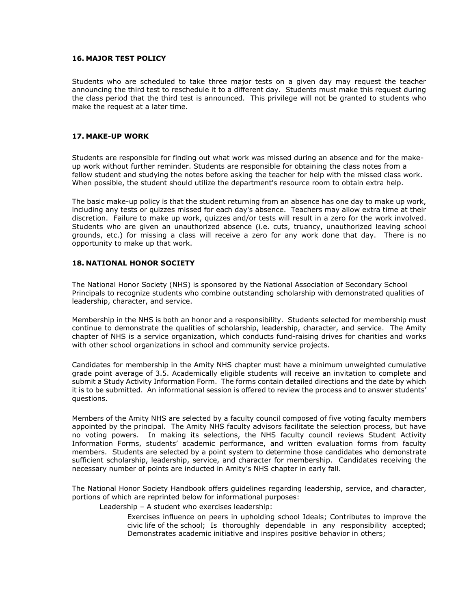## <span id="page-14-0"></span>**16. MAJOR TEST POLICY**

Students who are scheduled to take three major tests on a given day may request the teacher announcing the third test to reschedule it to a different day. Students must make this request during the class period that the third test is announced. This privilege will not be granted to students who make the request at a later time.

#### <span id="page-14-1"></span>**17. MAKE-UP WORK**

Students are responsible for finding out what work was missed during an absence and for the makeup work without further reminder. Students are responsible for obtaining the class notes from a fellow student and studying the notes before asking the teacher for help with the missed class work. When possible, the student should utilize the department's resource room to obtain extra help.

The basic make-up policy is that the student returning from an absence has one day to make up work, including any tests or quizzes missed for each day's absence. Teachers may allow extra time at their discretion. Failure to make up work, quizzes and/or tests will result in a zero for the work involved. Students who are given an unauthorized absence (i.e. cuts, truancy, unauthorized leaving school grounds, etc.) for missing a class will receive a zero for any work done that day. There is no opportunity to make up that work.

## <span id="page-14-2"></span>**18. NATIONAL HONOR SOCIETY**

The National Honor Society (NHS) is sponsored by the National Association of Secondary School Principals to recognize students who combine outstanding scholarship with demonstrated qualities of leadership, character, and service.

Membership in the NHS is both an honor and a responsibility. Students selected for membership must continue to demonstrate the qualities of scholarship, leadership, character, and service. The Amity chapter of NHS is a service organization, which conducts fund-raising drives for charities and works with other school organizations in school and community service projects.

Candidates for membership in the Amity NHS chapter must have a minimum unweighted cumulative grade point average of 3.5. Academically eligible students will receive an invitation to complete and submit a Study Activity Information Form. The forms contain detailed directions and the date by which it is to be submitted. An informational session is offered to review the process and to answer students' questions.

Members of the Amity NHS are selected by a faculty council composed of five voting faculty members appointed by the principal. The Amity NHS faculty advisors facilitate the selection process, but have no voting powers. In making its selections, the NHS faculty council reviews Student Activity Information Forms, students' academic performance, and written evaluation forms from faculty members. Students are selected by a point system to determine those candidates who demonstrate sufficient scholarship, leadership, service, and character for membership. Candidates receiving the necessary number of points are inducted in Amity's NHS chapter in early fall.

The National Honor Society Handbook offers guidelines regarding leadership, service, and character, portions of which are reprinted below for informational purposes:

Leadership – A student who exercises leadership:

Exercises influence on peers in upholding school Ideals; Contributes to improve the civic life of the school; Is thoroughly dependable in any responsibility accepted; Demonstrates academic initiative and inspires positive behavior in others;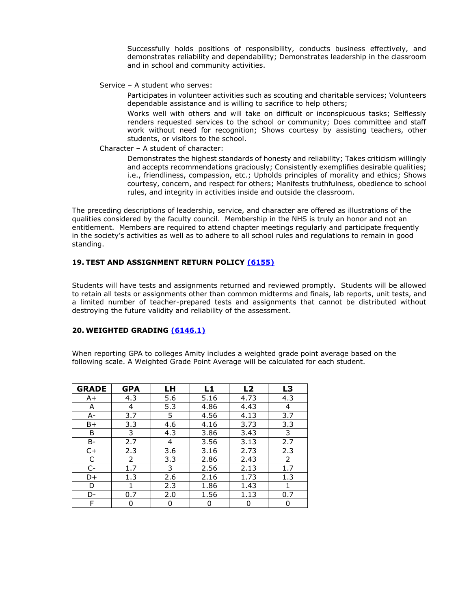Successfully holds positions of responsibility, conducts business effectively, and demonstrates reliability and dependability; Demonstrates leadership in the classroom and in school and community activities.

Service – A student who serves:

Participates in volunteer activities such as scouting and charitable services; Volunteers dependable assistance and is willing to sacrifice to help others;

Works well with others and will take on difficult or inconspicuous tasks; Selflessly renders requested services to the school or community; Does committee and staff work without need for recognition; Shows courtesy by assisting teachers, other students, or visitors to the school.

## Character – A student of character:

Demonstrates the highest standards of honesty and reliability; Takes criticism willingly and accepts recommendations graciously; Consistently exemplifies desirable qualities; i.e., friendliness, compassion, etc.; Upholds principles of morality and ethics; Shows courtesy, concern, and respect for others; Manifests truthfulness, obedience to school rules, and integrity in activities inside and outside the classroom.

The preceding descriptions of leadership, service, and character are offered as illustrations of the qualities considered by the faculty council. Membership in the NHS is truly an honor and not an entitlement. Members are required to attend chapter meetings regularly and participate frequently in the society's activities as well as to adhere to all school rules and regulations to remain in good standing.

## <span id="page-15-0"></span>**19. TEST AND ASSIGNMENT RETURN POLICY [\(6155\)](https://resources.finalsite.net/images/v1563719312/amityregion5org/ioliardyoutkhjesyrn1/instruction_6000_6155_ClassExams.pdf)**

Students will have tests and assignments returned and reviewed promptly. Students will be allowed to retain all tests or assignments other than common midterms and finals, lab reports, unit tests, and a limited number of teacher-prepared tests and assignments that cannot be distributed without destroying the future validity and reliability of the assessment.

## <span id="page-15-1"></span>**20. WEIGHTED GRADING [\(6146.1\)](https://resources.finalsite.net/images/v1563719312/amityregion5org/uglle8euaj6yuxyyci6u/instruction_6000_6146_1_Grading.pdf)**

When reporting GPA to colleges Amity includes a weighted grade point average based on the following scale. A Weighted Grade Point Average will be calculated for each student.

| <b>GRADE</b> | <b>GPA</b> | LH  | L1   | L <sub>2</sub> | L3  |
|--------------|------------|-----|------|----------------|-----|
| A+           | 4.3        | 5.6 | 5.16 | 4.73           | 4.3 |
| Α            | 4          | 5.3 | 4.86 | 4.43           | 4   |
| A-           | 3.7        | 5.  | 4.56 | 4.13           | 3.7 |
| B+           | 3.3        | 4.6 | 4.16 | 3.73           | 3.3 |
| B            | 3          | 4.3 | 3.86 | 3.43           | 3   |
| B-           | 2.7        | 4   | 3.56 | 3.13           | 2.7 |
| $C+$         | 2.3        | 3.6 | 3.16 | 2.73           | 2.3 |
| C            | 2          | 3.3 | 2.86 | 2.43           | 2   |
| $C-$         | 1.7        | 3   | 2.56 | 2.13           | 1.7 |
| D+           | 1.3        | 2.6 | 2.16 | 1.73           | 1.3 |
| D            |            | 2.3 | 1.86 | 1.43           |     |
| D-           | 0.7        | 2.0 | 1.56 | 1.13           | 0.7 |
| F            | 0          | 0   | 0    | 0              | 0   |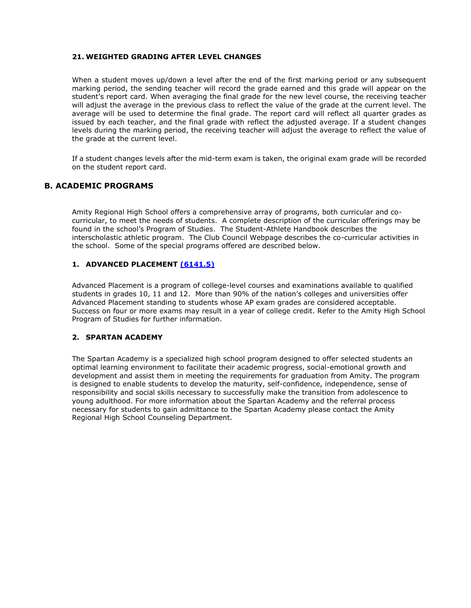## <span id="page-16-0"></span>**21. WEIGHTED GRADING AFTER LEVEL CHANGES**

When a student moves up/down a level after the end of the first marking period or any subsequent marking period, the sending teacher will record the grade earned and this grade will appear on the student's report card. When averaging the final grade for the new level course, the receiving teacher will adjust the average in the previous class to reflect the value of the grade at the current level. The average will be used to determine the final grade. The report card will reflect all quarter grades as issued by each teacher, and the final grade with reflect the adjusted average. If a student changes levels during the marking period, the receiving teacher will adjust the average to reflect the value of the grade at the current level.

If a student changes levels after the mid-term exam is taken, the original exam grade will be recorded on the student report card.

# <span id="page-16-1"></span>**B. ACADEMIC PROGRAMS**

Amity Regional High School offers a comprehensive array of programs, both curricular and cocurricular, to meet the needs of students. A complete description of the curricular offerings may be found in the school's Program of Studies. The Student-Athlete Handbook describes the interscholastic athletic program. The Club Council Webpage describes the co-curricular activities in the school. Some of the special programs offered are described below.

# <span id="page-16-2"></span>**1. ADVANCED PLACEMENT [\(6141.5\)](https://resources.finalsite.net/images/v1563719310/amityregion5org/qogskn2ee7wb2qqskn5x/instruction_6000_6141_5_AdvancedCollege.pdf)**

Advanced Placement is a program of college-level courses and examinations available to qualified students in grades 10, 11 and 12. More than 90% of the nation's colleges and universities offer Advanced Placement standing to students whose AP exam grades are considered acceptable. Success on four or more exams may result in a year of college credit. Refer to the Amity High School Program of Studies for further information.

## <span id="page-16-3"></span>**2. SPARTAN ACADEMY**

The Spartan Academy is a specialized high school program designed to offer selected students an optimal learning environment to facilitate their academic progress, social-emotional growth and development and assist them in meeting the requirements for graduation from Amity. The program is designed to enable students to develop the maturity, self-confidence, independence, sense of responsibility and social skills necessary to successfully make the transition from adolescence to young adulthood. For more information about the Spartan Academy and the referral process necessary for students to gain admittance to the Spartan Academy please contact the Amity Regional High School Counseling Department.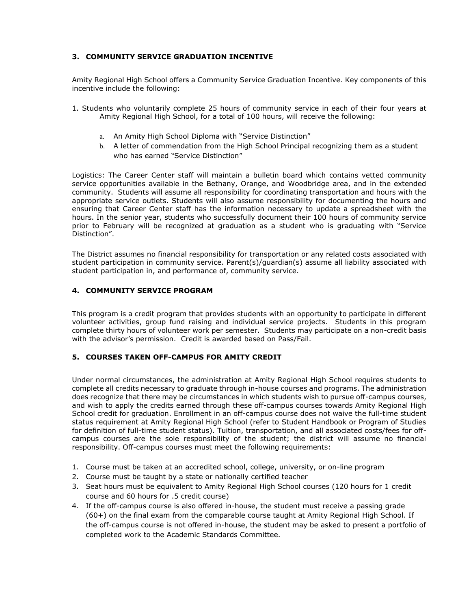# <span id="page-17-0"></span>**3. COMMUNITY SERVICE GRADUATION INCENTIVE**

Amity Regional High School offers a Community Service Graduation Incentive. Key components of this incentive include the following:

- 1. Students who voluntarily complete 25 hours of community service in each of their four years at Amity Regional High School, for a total of 100 hours, will receive the following:
	- a. An Amity High School Diploma with "Service Distinction"
	- b. A letter of commendation from the High School Principal recognizing them as a student who has earned "Service Distinction"

Logistics: The Career Center staff will maintain a bulletin board which contains vetted community service opportunities available in the Bethany, Orange, and Woodbridge area, and in the extended community. Students will assume all responsibility for coordinating transportation and hours with the appropriate service outlets. Students will also assume responsibility for documenting the hours and ensuring that Career Center staff has the information necessary to update a spreadsheet with the hours. In the senior year, students who successfully document their 100 hours of community service prior to February will be recognized at graduation as a student who is graduating with "Service Distinction".

The District assumes no financial responsibility for transportation or any related costs associated with student participation in community service. Parent(s)/guardian(s) assume all liability associated with student participation in, and performance of, community service.

## <span id="page-17-1"></span>**4. COMMUNITY SERVICE PROGRAM**

This program is a credit program that provides students with an opportunity to participate in different volunteer activities, group fund raising and individual service projects. Students in this program complete thirty hours of volunteer work per semester. Students may participate on a non-credit basis with the advisor's permission. Credit is awarded based on Pass/Fail.

## <span id="page-17-2"></span>**5. COURSES TAKEN OFF-CAMPUS FOR AMITY CREDIT**

Under normal circumstances, the administration at Amity Regional High School requires students to complete all credits necessary to graduate through in-house courses and programs. The administration does recognize that there may be circumstances in which students wish to pursue off-campus courses, and wish to apply the credits earned through these off-campus courses towards Amity Regional High School credit for graduation. Enrollment in an off-campus course does not waive the full-time student status requirement at Amity Regional High School (refer to Student Handbook or Program of Studies for definition of full-time student status). Tuition, transportation, and all associated costs/fees for offcampus courses are the sole responsibility of the student; the district will assume no financial responsibility. Off-campus courses must meet the following requirements:

- 1. Course must be taken at an accredited school, college, university, or on-line program
- 2. Course must be taught by a state or nationally certified teacher
- 3. Seat hours must be equivalent to Amity Regional High School courses (120 hours for 1 credit course and 60 hours for .5 credit course)
- 4. If the off-campus course is also offered in-house, the student must receive a passing grade (60+) on the final exam from the comparable course taught at Amity Regional High School. If the off-campus course is not offered in-house, the student may be asked to present a portfolio of completed work to the Academic Standards Committee.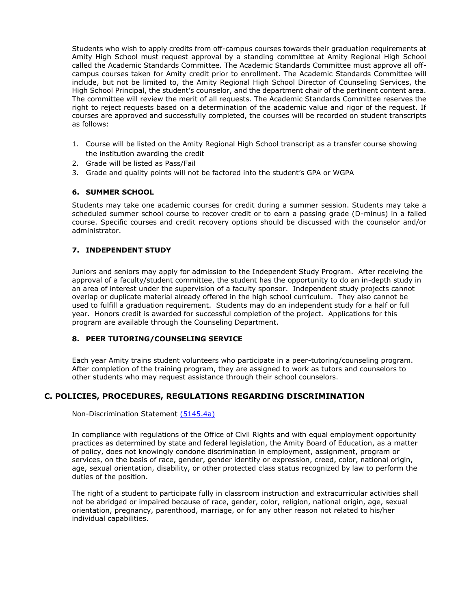Students who wish to apply credits from off-campus courses towards their graduation requirements at Amity High School must request approval by a standing committee at Amity Regional High School called the Academic Standards Committee. The Academic Standards Committee must approve all offcampus courses taken for Amity credit prior to enrollment. The Academic Standards Committee will include, but not be limited to, the Amity Regional High School Director of Counseling Services, the High School Principal, the student's counselor, and the department chair of the pertinent content area. The committee will review the merit of all requests. The Academic Standards Committee reserves the right to reject requests based on a determination of the academic value and rigor of the request. If courses are approved and successfully completed, the courses will be recorded on student transcripts as follows:

- 1. Course will be listed on the Amity Regional High School transcript as a transfer course showing the institution awarding the credit
- 2. Grade will be listed as Pass/Fail
- 3. Grade and quality points will not be factored into the student's GPA or WGPA

## <span id="page-18-0"></span>**6. SUMMER SCHOOL**

Students may take one academic courses for credit during a summer session. Students may take a scheduled summer school course to recover credit or to earn a passing grade (D-minus) in a failed course. Specific courses and credit recovery options should be discussed with the counselor and/or administrator.

## <span id="page-18-1"></span>**7. INDEPENDENT STUDY**

Juniors and seniors may apply for admission to the Independent Study Program. After receiving the approval of a faculty/student committee, the student has the opportunity to do an in-depth study in an area of interest under the supervision of a faculty sponsor. Independent study projects cannot overlap or duplicate material already offered in the high school curriculum. They also cannot be used to fulfill a graduation requirement. Students may do an independent study for a half or full year. Honors credit is awarded for successful completion of the project. Applications for this program are available through the Counseling Department.

## <span id="page-18-2"></span>**8. PEER TUTORING/COUNSELING SERVICE**

Each year Amity trains student volunteers who participate in a peer-tutoring/counseling program. After completion of the training program, they are assigned to work as tutors and counselors to other students who may request assistance through their school counselors.

# <span id="page-18-3"></span>**C. POLICIES, PROCEDURES, REGULATIONS REGARDING DISCRIMINATION**

Non-Discrimination Statement [\(5145.4a\)](https://resources.finalsite.net/images/v1600269364/amityregion5org/z02kymkpbzie99askk1z/P5145_4_Students_NondiscriminationTransgenderAndGenderNonConformingStudents_091420.pdf)

In compliance with regulations of the Office of Civil Rights and with equal employment opportunity practices as determined by state and federal legislation, the Amity Board of Education, as a matter of policy, does not knowingly condone discrimination in employment, assignment, program or services, on the basis of race, gender, gender identity or expression, creed, color, national origin, age, sexual orientation, disability, or other protected class status recognized by law to perform the duties of the position.

The right of a student to participate fully in classroom instruction and extracurricular activities shall not be abridged or impaired because of race, gender, color, religion, national origin, age, sexual orientation, pregnancy, parenthood, marriage, or for any other reason not related to his/her individual capabilities.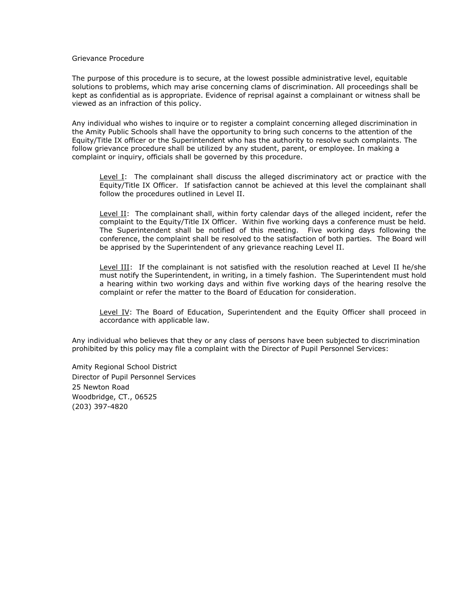#### Grievance Procedure

The purpose of this procedure is to secure, at the lowest possible administrative level, equitable solutions to problems, which may arise concerning clams of discrimination. All proceedings shall be kept as confidential as is appropriate. Evidence of reprisal against a complainant or witness shall be viewed as an infraction of this policy.

Any individual who wishes to inquire or to register a complaint concerning alleged discrimination in the Amity Public Schools shall have the opportunity to bring such concerns to the attention of the Equity/Title IX officer or the Superintendent who has the authority to resolve such complaints. The follow grievance procedure shall be utilized by any student, parent, or employee. In making a complaint or inquiry, officials shall be governed by this procedure.

Level I: The complainant shall discuss the alleged discriminatory act or practice with the Equity/Title IX Officer. If satisfaction cannot be achieved at this level the complainant shall follow the procedures outlined in Level II.

Level II: The complainant shall, within forty calendar days of the alleged incident, refer the complaint to the Equity/Title IX Officer. Within five working days a conference must be held. The Superintendent shall be notified of this meeting. Five working days following the conference, the complaint shall be resolved to the satisfaction of both parties. The Board will be apprised by the Superintendent of any grievance reaching Level II.

Level III: If the complainant is not satisfied with the resolution reached at Level II he/she must notify the Superintendent, in writing, in a timely fashion. The Superintendent must hold a hearing within two working days and within five working days of the hearing resolve the complaint or refer the matter to the Board of Education for consideration.

Level IV: The Board of Education, Superintendent and the Equity Officer shall proceed in accordance with applicable law.

Any individual who believes that they or any class of persons have been subjected to discrimination prohibited by this policy may file a complaint with the Director of Pupil Personnel Services:

Amity Regional School District Director of Pupil Personnel Services 25 Newton Road Woodbridge, CT., 06525 (203) 397-4820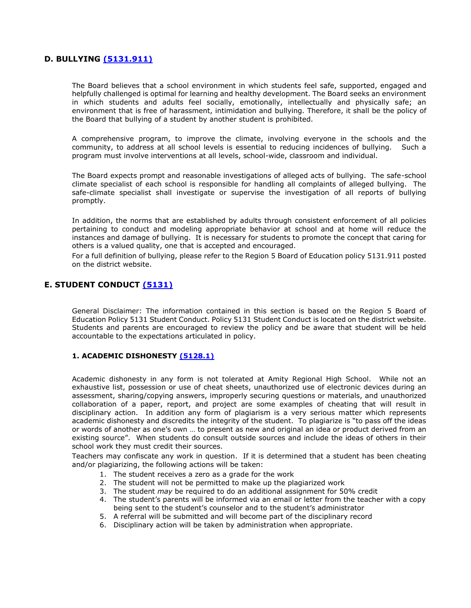# <span id="page-20-0"></span>**D. BULLYING [\(5131.911\)](https://resources.finalsite.net/images/v1636558387/amityregion5org/nkxz1nza5br6s85xtc5p/P5131_911_BullyingTeenDatingViolence_110821.pdf)**

The Board believes that a school environment in which students feel safe, supported, engaged and helpfully challenged is optimal for learning and healthy development. The Board seeks an environment in which students and adults feel socially, emotionally, intellectually and physically safe; an environment that is free of harassment, intimidation and bullying. Therefore, it shall be the policy of the Board that bullying of a student by another student is prohibited.

A comprehensive program, to improve the climate, involving everyone in the schools and the community, to address at all school levels is essential to reducing incidences of bullying. Such a program must involve interventions at all levels, school-wide, classroom and individual.

The Board expects prompt and reasonable investigations of alleged acts of bullying. The safe-school climate specialist of each school is responsible for handling all complaints of alleged bullying. The safe-climate specialist shall investigate or supervise the investigation of all reports of bullying promptly.

In addition, the norms that are established by adults through consistent enforcement of all policies pertaining to conduct and modeling appropriate behavior at school and at home will reduce the instances and damage of bullying. It is necessary for students to promote the concept that caring for others is a valued quality, one that is accepted and encouraged.

For a full definition of bullying, please refer to the Region 5 Board of Education policy 5131.911 posted on the district website.

# <span id="page-20-1"></span>**E. STUDENT CONDUCT [\(5131\)](https://resources.finalsite.net/images/v1570471431/amityregion5org/xqeb51plq0fvrreafmrt/students_5000_5131_Discipline.pdf)**

General Disclaimer: The information contained in this section is based on the Region 5 Board of Education Policy 5131 Student Conduct. Policy 5131 Student Conduct is located on the district website. Students and parents are encouraged to review the policy and be aware that student will be held accountable to the expectations articulated in policy.

## <span id="page-20-2"></span>**1. ACADEMIC DISHONESTY [\(5128.1\)](https://resources.finalsite.net/images/v1563560241/amityregion5org/qbhd0toglfcswhh9bjnj/students_5000_5128_1_Plagiarism.pdf)**

Academic dishonesty in any form is not tolerated at Amity Regional High School. While not an exhaustive list, possession or use of cheat sheets, unauthorized use of electronic devices during an assessment, sharing/copying answers, improperly securing questions or materials, and unauthorized collaboration of a paper, report, and project are some examples of cheating that will result in disciplinary action. In addition any form of plagiarism is a very serious matter which represents academic dishonesty and discredits the integrity of the student. To plagiarize is "to pass off the ideas or words of another as one's own … to present as new and original an idea or product derived from an existing source". When students do consult outside sources and include the ideas of others in their school work they must credit their sources.

Teachers may confiscate any work in question. If it is determined that a student has been cheating and/or plagiarizing, the following actions will be taken:

- 1. The student receives a zero as a grade for the work
- 2. The student will not be permitted to make up the plagiarized work
- 3. The student *may* be required to do an additional assignment for 50% credit
- 4. The student's parents will be informed via an email or letter from the teacher with a copy being sent to the student's counselor and to the student's administrator
- 5. A referral will be submitted and will become part of the disciplinary record
- 6. Disciplinary action will be taken by administration when appropriate.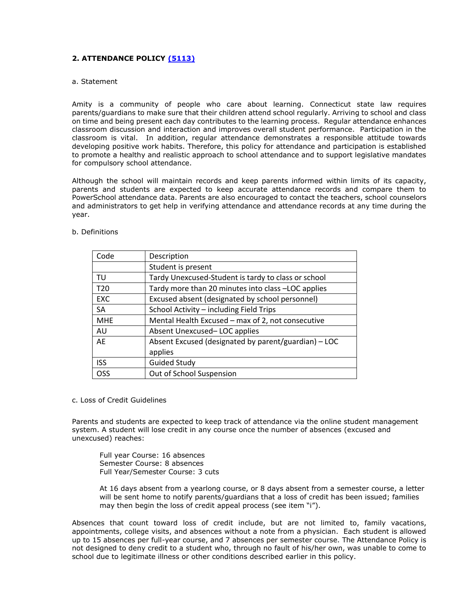## <span id="page-21-0"></span>**2. ATTENDANCE POLICY [\(5113\)](https://resources.finalsite.net/images/v1636556409/amityregion5org/qjwsqgzavrctvhzhds8n/students_5000_5113_2_Attendance.pdf)**

#### <span id="page-21-1"></span>a. Statement

Amity is a community of people who care about learning. Connecticut state law requires parents/guardians to make sure that their children attend school regularly. Arriving to school and class on time and being present each day contributes to the learning process. Regular attendance enhances classroom discussion and interaction and improves overall student performance. Participation in the classroom is vital. In addition, regular attendance demonstrates a responsible attitude towards developing positive work habits. Therefore, this policy for attendance and participation is established to promote a healthy and realistic approach to school attendance and to support legislative mandates for compulsory school attendance.

Although the school will maintain records and keep parents informed within limits of its capacity, parents and students are expected to keep accurate attendance records and compare them to PowerSchool attendance data. Parents are also encouraged to contact the teachers, school counselors and administrators to get help in verifying attendance and attendance records at any time during the year.

| Code            | Description                                          |
|-----------------|------------------------------------------------------|
|                 | Student is present                                   |
| TU              | Tardy Unexcused-Student is tardy to class or school  |
| T <sub>20</sub> | Tardy more than 20 minutes into class -LOC applies   |
| <b>EXC</b>      | Excused absent (designated by school personnel)      |
| SA              | School Activity - including Field Trips              |
| <b>MHE</b>      | Mental Health Excused - max of 2, not consecutive    |
| AU              | Absent Unexcused-LOC applies                         |
| AE              | Absent Excused (designated by parent/guardian) - LOC |
|                 | applies                                              |
| <b>ISS</b>      | <b>Guided Study</b>                                  |
| <b>OSS</b>      | Out of School Suspension                             |

## <span id="page-21-2"></span>b. Definitions

#### <span id="page-21-3"></span>c. Loss of Credit Guidelines

Parents and students are expected to keep track of attendance via the online student management system. A student will lose credit in any course once the number of absences (excused and unexcused) reaches:

Full year Course: 16 absences Semester Course: 8 absences Full Year/Semester Course: 3 cuts

At 16 days absent from a yearlong course, or 8 days absent from a semester course, a letter will be sent home to notify parents/guardians that a loss of credit has been issued; families may then begin the loss of credit appeal process (see item "i").

Absences that count toward loss of credit include, but are not limited to, family vacations, appointments, college visits, and absences without a note from a physician. Each student is allowed up to 15 absences per full-year course, and 7 absences per semester course. The Attendance Policy is not designed to deny credit to a student who, through no fault of his/her own, was unable to come to school due to legitimate illness or other conditions described earlier in this policy.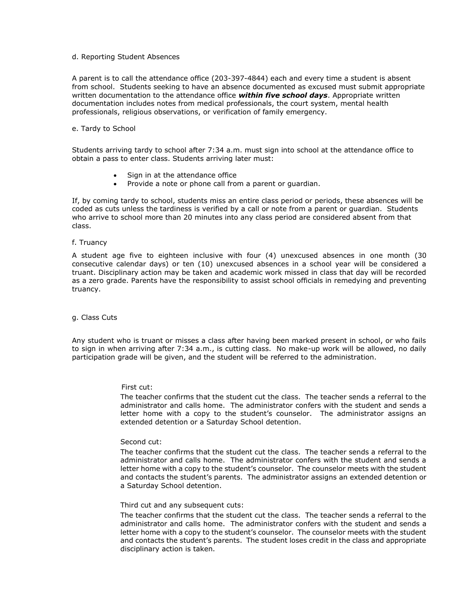#### <span id="page-22-0"></span>d. Reporting Student Absences

A parent is to call the attendance office (203-397-4844) each and every time a student is absent from school. Students seeking to have an absence documented as excused must submit appropriate written documentation to the attendance office *within five school days*. Appropriate written documentation includes notes from medical professionals, the court system, mental health professionals, religious observations, or verification of family emergency.

#### <span id="page-22-1"></span>e. Tardy to School

Students arriving tardy to school after 7:34 a.m. must sign into school at the attendance office to obtain a pass to enter class. Students arriving later must:

- Sign in at the attendance office
- Provide a note or phone call from a parent or guardian.

If, by coming tardy to school, students miss an entire class period or periods, these absences will be coded as cuts unless the tardiness is verified by a call or note from a parent or guardian. Students who arrive to school more than 20 minutes into any class period are considered absent from that class.

#### <span id="page-22-2"></span>f. Truancy

A student age five to eighteen inclusive with four (4) unexcused absences in one month (30 consecutive calendar days) or ten (10) unexcused absences in a school year will be considered a truant. Disciplinary action may be taken and academic work missed in class that day will be recorded as a zero grade. Parents have the responsibility to assist school officials in remedying and preventing truancy.

#### <span id="page-22-3"></span>g. Class Cuts

Any student who is truant or misses a class after having been marked present in school, or who fails to sign in when arriving after 7:34 a.m., is cutting class. No make-up work will be allowed, no daily participation grade will be given, and the student will be referred to the administration.

#### First cut:

The teacher confirms that the student cut the class. The teacher sends a referral to the administrator and calls home. The administrator confers with the student and sends a letter home with a copy to the student's counselor. The administrator assigns an extended detention or a Saturday School detention.

#### Second cut:

The teacher confirms that the student cut the class. The teacher sends a referral to the administrator and calls home. The administrator confers with the student and sends a letter home with a copy to the student's counselor. The counselor meets with the student and contacts the student's parents. The administrator assigns an extended detention or a Saturday School detention.

#### Third cut and any subsequent cuts:

The teacher confirms that the student cut the class. The teacher sends a referral to the administrator and calls home. The administrator confers with the student and sends a letter home with a copy to the student's counselor. The counselor meets with the student and contacts the student's parents. The student loses credit in the class and appropriate disciplinary action is taken.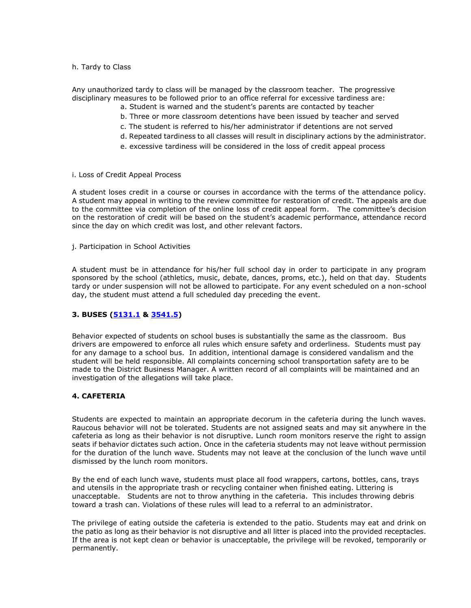#### <span id="page-23-0"></span>h. Tardy to Class

Any unauthorized tardy to class will be managed by the classroom teacher. The progressive disciplinary measures to be followed prior to an office referral for excessive tardiness are:

- a. Student is warned and the student's parents are contacted by teacher
- b. Three or more classroom detentions have been issued by teacher and served
- c. The student is referred to his/her administrator if detentions are not served
- d. Repeated tardiness to all classes will result in disciplinary actions by the administrator.
- e. excessive tardiness will be considered in the loss of credit appeal process
- <span id="page-23-1"></span>i. Loss of Credit Appeal Process

A student loses credit in a course or courses in accordance with the terms of the attendance policy. A student may appeal in writing to the review committee for restoration of credit. The appeals are due to the committee via completion of the online loss of credit appeal form. The committee's decision on the restoration of credit will be based on the student's academic performance, attendance record since the day on which credit was lost, and other relevant factors.

<span id="page-23-2"></span>j. Participation in School Activities

A student must be in attendance for his/her full school day in order to participate in any program sponsored by the school (athletics, music, debate, dances, proms, etc.), held on that day. Students tardy or under suspension will not be allowed to participate. For any event scheduled on a non-school day, the student must attend a full scheduled day preceding the event.

#### <span id="page-23-3"></span>**3. BUSES [\(5131.1](https://resources.finalsite.net/images/v1563560238/amityregion5org/qgwhrsagimabzh4qbef4/students_5000_5131_1_BusConduct.pdf) & [3541.5\)](https://resources.finalsite.net/images/v1604939760/amityregion5org/yirjfrmkw4h9iy9mf9g0/business_3000_3541_5_TransportationComplaintsPR.pdf)**

Behavior expected of students on school buses is substantially the same as the classroom. Bus drivers are empowered to enforce all rules which ensure safety and orderliness. Students must pay for any damage to a school bus. In addition, intentional damage is considered vandalism and the student will be held responsible. All complaints concerning school transportation safety are to be made to the District Business Manager. A written record of all complaints will be maintained and an investigation of the allegations will take place.

#### <span id="page-23-4"></span>**4. CAFETERIA**

Students are expected to maintain an appropriate decorum in the cafeteria during the lunch waves. Raucous behavior will not be tolerated. Students are not assigned seats and may sit anywhere in the cafeteria as long as their behavior is not disruptive. Lunch room monitors reserve the right to assign seats if behavior dictates such action. Once in the cafeteria students may not leave without permission for the duration of the lunch wave. Students may not leave at the conclusion of the lunch wave until dismissed by the lunch room monitors.

By the end of each lunch wave, students must place all food wrappers, cartons, bottles, cans, trays and utensils in the appropriate trash or recycling container when finished eating. Littering is unacceptable. Students are not to throw anything in the cafeteria. This includes throwing debris toward a trash can. Violations of these rules will lead to a referral to an administrator.

The privilege of eating outside the cafeteria is extended to the patio. Students may eat and drink on the patio as long as their behavior is not disruptive and all litter is placed into the provided receptacles. If the area is not kept clean or behavior is unacceptable, the privilege will be revoked, temporarily or permanently.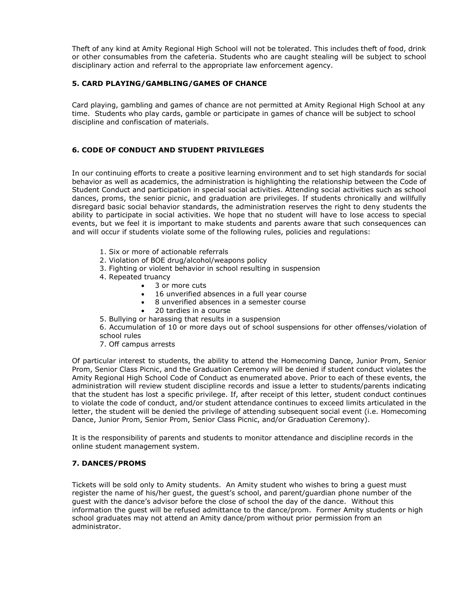Theft of any kind at Amity Regional High School will not be tolerated. This includes theft of food, drink or other consumables from the cafeteria. Students who are caught stealing will be subject to school disciplinary action and referral to the appropriate law enforcement agency.

## <span id="page-24-0"></span>**5. CARD PLAYING/GAMBLING/GAMES OF CHANCE**

Card playing, gambling and games of chance are not permitted at Amity Regional High School at any time. Students who play cards, gamble or participate in games of chance will be subject to school discipline and confiscation of materials.

## <span id="page-24-1"></span>**6. CODE OF CONDUCT AND STUDENT PRIVILEGES**

In our continuing efforts to create a positive learning environment and to set high standards for social behavior as well as academics, the administration is highlighting the relationship between the Code of Student Conduct and participation in special social activities. Attending social activities such as school dances, proms, the senior picnic, and graduation are privileges. If students chronically and willfully disregard basic social behavior standards, the administration reserves the right to deny students the ability to participate in social activities. We hope that no student will have to lose access to special events, but we feel it is important to make students and parents aware that such consequences can and will occur if students violate some of the following rules, policies and regulations:

- 1. Six or more of actionable referrals
- 2. Violation of BOE drug/alcohol/weapons policy
- 3. Fighting or violent behavior in school resulting in suspension
- 4. Repeated truancy
	- 3 or more cuts
	- 16 unverified absences in a full year course
	- 8 unverified absences in a semester course
		- 20 tardies in a course
- 5. Bullying or harassing that results in a suspension

6. Accumulation of 10 or more days out of school suspensions for other offenses/violation of school rules

7. Off campus arrests

Of particular interest to students, the ability to attend the Homecoming Dance, Junior Prom, Senior Prom, Senior Class Picnic, and the Graduation Ceremony will be denied if student conduct violates the Amity Regional High School Code of Conduct as enumerated above. Prior to each of these events, the administration will review student discipline records and issue a letter to students/parents indicating that the student has lost a specific privilege. If, after receipt of this letter, student conduct continues to violate the code of conduct, and/or student attendance continues to exceed limits articulated in the letter, the student will be denied the privilege of attending subsequent social event (i.e. Homecoming Dance, Junior Prom, Senior Prom, Senior Class Picnic, and/or Graduation Ceremony).

It is the responsibility of parents and students to monitor attendance and discipline records in the online student management system.

## <span id="page-24-2"></span>**7. DANCES/PROMS**

Tickets will be sold only to Amity students. An Amity student who wishes to bring a guest must register the name of his/her guest, the guest's school, and parent/guardian phone number of the guest with the dance's advisor before the close of school the day of the dance. Without this information the guest will be refused admittance to the dance/prom. Former Amity students or high school graduates may not attend an Amity dance/prom without prior permission from an administrator.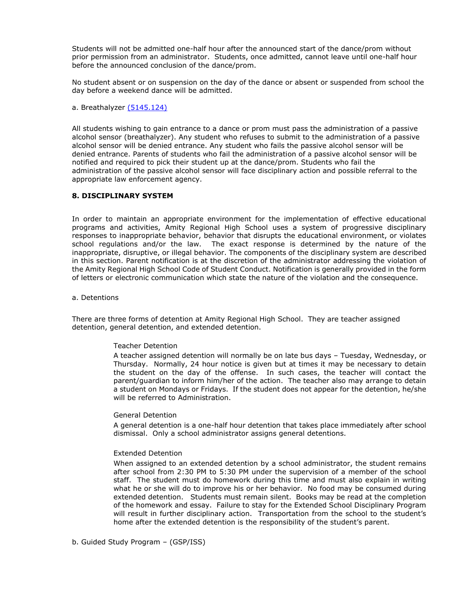Students will not be admitted one-half hour after the announced start of the dance/prom without prior permission from an administrator. Students, once admitted, cannot leave until one-half hour before the announced conclusion of the dance/prom.

No student absent or on suspension on the day of the dance or absent or suspended from school the day before a weekend dance will be admitted.

<span id="page-25-0"></span>a. Breathalyzer [\(5145.124\)](https://resources.finalsite.net/images/v1563560245/amityregion5org/uywkwdj4ahywdseyt8js/students_5000_5145_124_Breathalyzer.pdf)

All students wishing to gain entrance to a dance or prom must pass the administration of a passive alcohol sensor (breathalyzer). Any student who refuses to submit to the administration of a passive alcohol sensor will be denied entrance. Any student who fails the passive alcohol sensor will be denied entrance. Parents of students who fail the administration of a passive alcohol sensor will be notified and required to pick their student up at the dance/prom. Students who fail the administration of the passive alcohol sensor will face disciplinary action and possible referral to the appropriate law enforcement agency.

#### <span id="page-25-1"></span>**8. DISCIPLINARY SYSTEM**

In order to maintain an appropriate environment for the implementation of effective educational programs and activities, Amity Regional High School uses a system of progressive disciplinary responses to inappropriate behavior, behavior that disrupts the educational environment, or violates school regulations and/or the law. The exact response is determined by the nature of the inappropriate, disruptive, or illegal behavior. The components of the disciplinary system are described in this section. Parent notification is at the discretion of the administrator addressing the violation of the Amity Regional High School Code of Student Conduct. Notification is generally provided in the form of letters or electronic communication which state the nature of the violation and the consequence.

<span id="page-25-2"></span>a. Detentions

There are three forms of detention at Amity Regional High School. They are teacher assigned detention, general detention, and extended detention.

#### Teacher Detention

A teacher assigned detention will normally be on late bus days – Tuesday, Wednesday, or Thursday. Normally, 24 hour notice is given but at times it may be necessary to detain the student on the day of the offense. In such cases, the teacher will contact the parent/guardian to inform him/her of the action. The teacher also may arrange to detain a student on Mondays or Fridays. If the student does not appear for the detention, he/she will be referred to Administration.

#### General Detention

A general detention is a one-half hour detention that takes place immediately after school dismissal. Only a school administrator assigns general detentions.

#### Extended Detention

When assigned to an extended detention by a school administrator, the student remains after school from 2:30 PM to 5:30 PM under the supervision of a member of the school staff. The student must do homework during this time and must also explain in writing what he or she will do to improve his or her behavior. No food may be consumed during extended detention. Students must remain silent. Books may be read at the completion of the homework and essay. Failure to stay for the Extended School Disciplinary Program will result in further disciplinary action. Transportation from the school to the student's home after the extended detention is the responsibility of the student's parent.

<span id="page-25-3"></span>b. Guided Study Program – (GSP/ISS)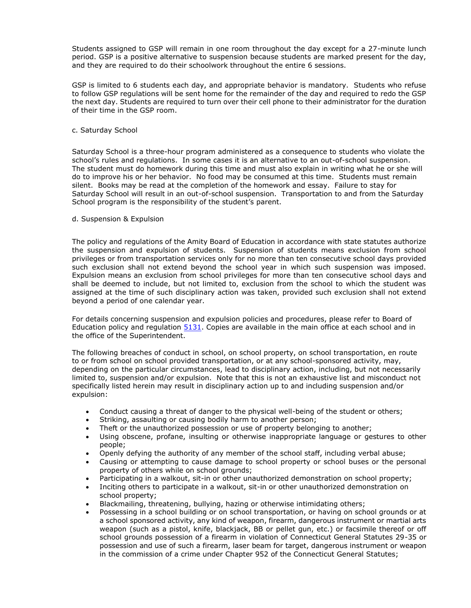Students assigned to GSP will remain in one room throughout the day except for a 27-minute lunch period. GSP is a positive alternative to suspension because students are marked present for the day, and they are required to do their schoolwork throughout the entire 6 sessions.

GSP is limited to 6 students each day, and appropriate behavior is mandatory. Students who refuse to follow GSP regulations will be sent home for the remainder of the day and required to redo the GSP the next day. Students are required to turn over their cell phone to their administrator for the duration of their time in the GSP room.

#### <span id="page-26-0"></span>c. Saturday School

Saturday School is a three-hour program administered as a consequence to students who violate the school's rules and regulations. In some cases it is an alternative to an out-of-school suspension. The student must do homework during this time and must also explain in writing what he or she will do to improve his or her behavior. No food may be consumed at this time. Students must remain silent. Books may be read at the completion of the homework and essay. Failure to stay for Saturday School will result in an out-of-school suspension. Transportation to and from the Saturday School program is the responsibility of the student's parent.

#### <span id="page-26-1"></span>d. Suspension & Expulsion

The policy and regulations of the Amity Board of Education in accordance with state statutes authorize the suspension and expulsion of students. Suspension of students means exclusion from school privileges or from transportation services only for no more than ten consecutive school days provided such exclusion shall not extend beyond the school year in which such suspension was imposed. Expulsion means an exclusion from school privileges for more than ten consecutive school days and shall be deemed to include, but not limited to, exclusion from the school to which the student was assigned at the time of such disciplinary action was taken, provided such exclusion shall not extend beyond a period of one calendar year.

For details concerning suspension and expulsion policies and procedures, please refer to Board of Education policy and regulation [5131.](https://resources.finalsite.net/images/v1570471431/amityregion5org/xqeb51plq0fvrreafmrt/students_5000_5131_Discipline.pdf) Copies are available in the main office at each school and in the office of the Superintendent.

The following breaches of conduct in school, on school property, on school transportation, en route to or from school on school provided transportation, or at any school-sponsored activity, may, depending on the particular circumstances, lead to disciplinary action, including, but not necessarily limited to, suspension and/or expulsion. Note that this is not an exhaustive list and misconduct not specifically listed herein may result in disciplinary action up to and including suspension and/or expulsion:

- Conduct causing a threat of danger to the physical well-being of the student or others;
- Striking, assaulting or causing bodily harm to another person;
- Theft or the unauthorized possession or use of property belonging to another;
- Using obscene, profane, insulting or otherwise inappropriate language or gestures to other people;
- Openly defying the authority of any member of the school staff, including verbal abuse;
- Causing or attempting to cause damage to school property or school buses or the personal property of others while on school grounds;
- Participating in a walkout, sit-in or other unauthorized demonstration on school property;
- Inciting others to participate in a walkout, sit-in or other unauthorized demonstration on school property;
- Blackmailing, threatening, bullying, hazing or otherwise intimidating others;
- Possessing in a school building or on school transportation, or having on school grounds or at a school sponsored activity, any kind of weapon, firearm, dangerous instrument or martial arts weapon (such as a pistol, knife, blackjack, BB or pellet gun, etc.) or facsimile thereof or off school grounds possession of a firearm in violation of Connecticut General Statutes 29-35 or possession and use of such a firearm, laser beam for target, dangerous instrument or weapon in the commission of a crime under Chapter 952 of the Connecticut General Statutes;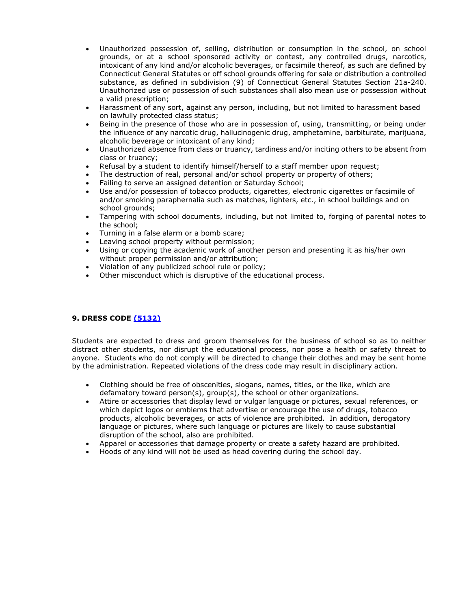- Unauthorized possession of, selling, distribution or consumption in the school, on school grounds, or at a school sponsored activity or contest, any controlled drugs, narcotics, intoxicant of any kind and/or alcoholic beverages, or facsimile thereof, as such are defined by Connecticut General Statutes or off school grounds offering for sale or distribution a controlled substance, as defined in subdivision (9) of Connecticut General Statutes Section 21a-240. Unauthorized use or possession of such substances shall also mean use or possession without a valid prescription;
- Harassment of any sort, against any person, including, but not limited to harassment based on lawfully protected class status;
- Being in the presence of those who are in possession of, using, transmitting, or being under the influence of any narcotic drug, hallucinogenic drug, amphetamine, barbiturate, marijuana, alcoholic beverage or intoxicant of any kind;
- Unauthorized absence from class or truancy, tardiness and/or inciting others to be absent from class or truancy;
- Refusal by a student to identify himself/herself to a staff member upon request;
- The destruction of real, personal and/or school property or property of others;
- Failing to serve an assigned detention or Saturday School:
- Use and/or possession of tobacco products, cigarettes, electronic cigarettes or facsimile of and/or smoking paraphernalia such as matches, lighters, etc., in school buildings and on school grounds;
- Tampering with school documents, including, but not limited to, forging of parental notes to the school;
- Turning in a false alarm or a bomb scare;
- Leaving school property without permission;
- Using or copying the academic work of another person and presenting it as his/her own without proper permission and/or attribution;
- Violation of any publicized school rule or policy;
- Other misconduct which is disruptive of the educational process.

# <span id="page-27-0"></span>**9. DRESS CODE [\(5132\)](https://resources.finalsite.net/images/v1599068172/amityregion5org/nlv0joqbpj19ci2ygcom/students_5000_5132_Dress.pdf)**

Students are expected to dress and groom themselves for the business of school so as to neither distract other students, nor disrupt the educational process, nor pose a health or safety threat to anyone. Students who do not comply will be directed to change their clothes and may be sent home by the administration. Repeated violations of the dress code may result in disciplinary action.

- Clothing should be free of obscenities, slogans, names, titles, or the like, which are defamatory toward person(s), group(s), the school or other organizations.
- Attire or accessories that display lewd or vulgar language or pictures, sexual references, or which depict logos or emblems that advertise or encourage the use of drugs, tobacco products, alcoholic beverages, or acts of violence are prohibited. In addition, derogatory language or pictures, where such language or pictures are likely to cause substantial disruption of the school, also are prohibited.
- Apparel or accessories that damage property or create a safety hazard are prohibited.
- Hoods of any kind will not be used as head covering during the school day.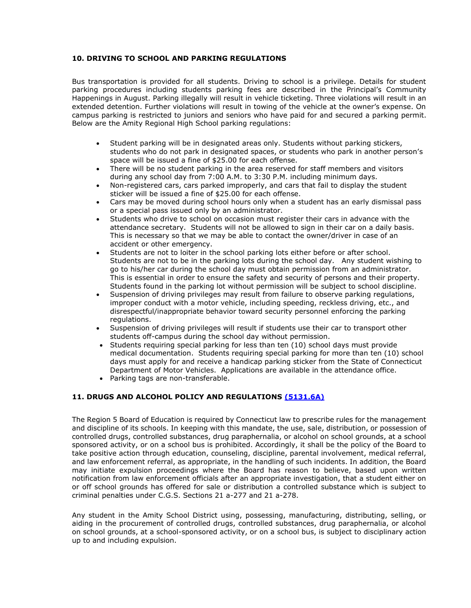## <span id="page-28-0"></span>**10. DRIVING TO SCHOOL AND PARKING REGULATIONS**

Bus transportation is provided for all students. Driving to school is a privilege. Details for student parking procedures including students parking fees are described in the Principal's Community Happenings in August. Parking illegally will result in vehicle ticketing. Three violations will result in an extended detention. Further violations will result in towing of the vehicle at the owner's expense. On campus parking is restricted to juniors and seniors who have paid for and secured a parking permit. Below are the Amity Regional High School parking regulations:

- Student parking will be in designated areas only. Students without parking stickers, students who do not park in designated spaces, or students who park in another person's space will be issued a fine of \$25.00 for each offense.
- There will be no student parking in the area reserved for staff members and visitors during any school day from 7:00 A.M. to 3:30 P.M. including minimum days.
- Non-registered cars, cars parked improperly, and cars that fail to display the student sticker will be issued a fine of \$25.00 for each offense.
- Cars may be moved during school hours only when a student has an early dismissal pass or a special pass issued only by an administrator.
- Students who drive to school on occasion must register their cars in advance with the attendance secretary. Students will not be allowed to sign in their car on a daily basis. This is necessary so that we may be able to contact the owner/driver in case of an accident or other emergency.
- Students are not to loiter in the school parking lots either before or after school. Students are not to be in the parking lots during the school day. Any student wishing to go to his/her car during the school day must obtain permission from an administrator. This is essential in order to ensure the safety and security of persons and their property. Students found in the parking lot without permission will be subject to school discipline.
- Suspension of driving privileges may result from failure to observe parking regulations, improper conduct with a motor vehicle, including speeding, reckless driving, etc., and disrespectful/inappropriate behavior toward security personnel enforcing the parking regulations.
- Suspension of driving privileges will result if students use their car to transport other students off-campus during the school day without permission.
- Students requiring special parking for less than ten (10) school days must provide medical documentation. Students requiring special parking for more than ten (10) school days must apply for and receive a handicap parking sticker from the State of Connecticut Department of Motor Vehicles. Applications are available in the attendance office.
- Parking tags are non-transferable.

## <span id="page-28-1"></span>**11. DRUGS AND ALCOHOL POLICY AND REGULATIONS [\(5131.6A\)](https://resources.finalsite.net/images/v1645017552/amityregion5org/x1fq1fehakxovgy2c1u6/students_5000_5131_6_Alcohol.pdf)**

The Region 5 Board of Education is required by Connecticut law to prescribe rules for the management and discipline of its schools. In keeping with this mandate, the use, sale, distribution, or possession of controlled drugs, controlled substances, drug paraphernalia, or alcohol on school grounds, at a school sponsored activity, or on a school bus is prohibited. Accordingly, it shall be the policy of the Board to take positive action through education, counseling, discipline, parental involvement, medical referral, and law enforcement referral, as appropriate, in the handling of such incidents. In addition, the Board may initiate expulsion proceedings where the Board has reason to believe, based upon written notification from law enforcement officials after an appropriate investigation, that a student either on or off school grounds has offered for sale or distribution a controlled substance which is subject to criminal penalties under C.G.S. Sections 21 a-277 and 21 a-278.

Any student in the Amity School District using, possessing, manufacturing, distributing, selling, or aiding in the procurement of controlled drugs, controlled substances, drug paraphernalia, or alcohol on school grounds, at a school-sponsored activity, or on a school bus, is subject to disciplinary action up to and including expulsion.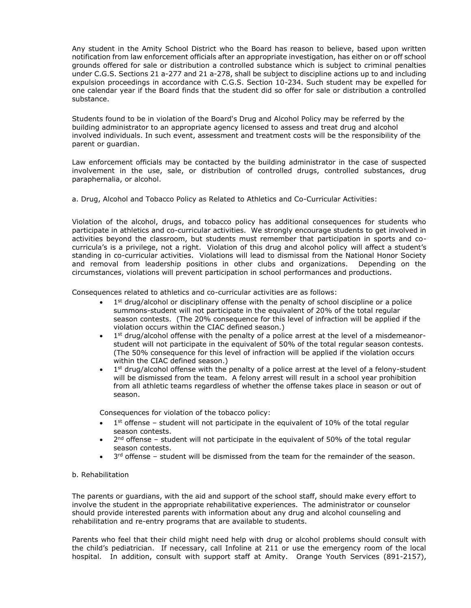Any student in the Amity School District who the Board has reason to believe, based upon written notification from law enforcement officials after an appropriate investigation, has either on or off school grounds offered for sale or distribution a controlled substance which is subject to criminal penalties under C.G.S. Sections 21 a-277 and 21 a-278, shall be subject to discipline actions up to and including expulsion proceedings in accordance with C.G.S. Section 10-234. Such student may be expelled for one calendar year if the Board finds that the student did so offer for sale or distribution a controlled substance.

Students found to be in violation of the Board's Drug and Alcohol Policy may be referred by the building administrator to an appropriate agency licensed to assess and treat drug and alcohol involved individuals. In such event, assessment and treatment costs will be the responsibility of the parent or guardian.

Law enforcement officials may be contacted by the building administrator in the case of suspected involvement in the use, sale, or distribution of controlled drugs, controlled substances, drug paraphernalia, or alcohol.

<span id="page-29-0"></span>a. Drug, Alcohol and Tobacco Policy as Related to Athletics and Co-Curricular Activities:

Violation of the alcohol, drugs, and tobacco policy has additional consequences for students who participate in athletics and co-curricular activities. We strongly encourage students to get involved in activities beyond the classroom, but students must remember that participation in sports and cocurricula's is a privilege, not a right. Violation of this drug and alcohol policy will affect a student's standing in co-curricular activities. Violations will lead to dismissal from the National Honor Society and removal from leadership positions in other clubs and organizations. Depending on the circumstances, violations will prevent participation in school performances and productions.

Consequences related to athletics and co-curricular activities are as follows:

- $\bullet$  1<sup>st</sup> drug/alcohol or disciplinary offense with the penalty of school discipline or a police summons-student will not participate in the equivalent of 20% of the total regular season contests. (The 20% consequence for this level of infraction will be applied if the violation occurs within the CIAC defined season.)
- $\bullet$  1<sup>st</sup> drug/alcohol offense with the penalty of a police arrest at the level of a misdemeanorstudent will not participate in the equivalent of 50% of the total regular season contests. (The 50% consequence for this level of infraction will be applied if the violation occurs within the CIAC defined season.)
- $\bullet$  1<sup>st</sup> drug/alcohol offense with the penalty of a police arrest at the level of a felony-student will be dismissed from the team. A felony arrest will result in a school year prohibition from all athletic teams regardless of whether the offense takes place in season or out of season.

Consequences for violation of the tobacco policy:

- $\bullet$  1<sup>st</sup> offense student will not participate in the equivalent of 10% of the total regular season contests.
- $\bullet$  2<sup>nd</sup> offense student will not participate in the equivalent of 50% of the total regular season contests.
- $\bullet$  3<sup>rd</sup> offense student will be dismissed from the team for the remainder of the season.

#### <span id="page-29-1"></span>b. Rehabilitation

The parents or guardians, with the aid and support of the school staff, should make every effort to involve the student in the appropriate rehabilitative experiences. The administrator or counselor should provide interested parents with information about any drug and alcohol counseling and rehabilitation and re-entry programs that are available to students.

Parents who feel that their child might need help with drug or alcohol problems should consult with the child's pediatrician. If necessary, call Infoline at 211 or use the emergency room of the local hospital. In addition, consult with support staff at Amity. Orange Youth Services (891-2157),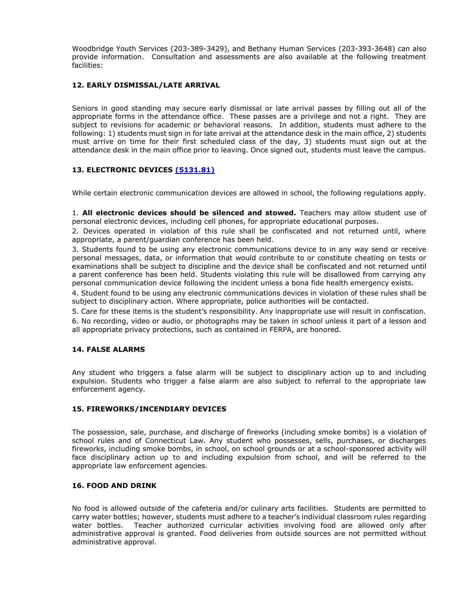Woodbridge Youth Services (203-389-3429), and Bethany Human Services (203-393-3648) can also provide information. Consultation and assessments are also available at the following treatment facilities:

## <span id="page-30-0"></span>**12. EARLY DISMISSAL/LATE ARRIVAL**

Seniors in good standing may secure early dismissal or late arrival passes by filling out all of the appropriate forms in the attendance office. These passes are a privilege and not a right. They are subject to revisions for academic or behavioral reasons. In addition, students must adhere to the following: 1) students must sign in for late arrival at the attendance desk in the main office, 2) students must arrive on time for their first scheduled class of the day, 3) students must sign out at the attendance desk in the main office prior to leaving. Once signed out, students must leave the campus.

## <span id="page-30-1"></span>**13. ELECTRONIC DEVICES [\(5131.81\)](https://resources.finalsite.net/images/v1579799920/amityregion5org/fywuved7u2lbtqb2wmur/students_5000_5131_81_ElectronicDevices.pdf)**

While certain electronic communication devices are allowed in school, the following regulations apply.

1. **All electronic devices should be silenced and stowed.** Teachers may allow student use of personal electronic devices, including cell phones, for appropriate educational purposes.

2. Devices operated in violation of this rule shall be confiscated and not returned until, where appropriate, a parent/guardian conference has been held.

3. Students found to be using any electronic communications device to in any way send or receive personal messages, data, or information that would contribute to or constitute cheating on tests or examinations shall be subject to discipline and the device shall be confiscated and not returned until a parent conference has been held. Students violating this rule will be disallowed from carrying any personal communication device following the incident unless a bona fide health emergency exists.

4. Student found to be using any electronic communications devices in violation of these rules shall be subject to disciplinary action. Where appropriate, police authorities will be contacted.

5. Care for these items is the student's responsibility. Any inappropriate use will result in confiscation.

6. No recording, video or audio, or photographs may be taken in school unless it part of a lesson and all appropriate privacy protections, such as contained in FERPA, are honored.

## <span id="page-30-2"></span>**14. FALSE ALARMS**

Any student who triggers a false alarm will be subject to disciplinary action up to and including expulsion. Students who trigger a false alarm are also subject to referral to the appropriate law enforcement agency.

## <span id="page-30-3"></span>**15. FIREWORKS/INCENDIARY DEVICES**

The possession, sale, purchase, and discharge of fireworks (including smoke bombs) is a violation of school rules and of Connecticut Law. Any student who possesses, sells, purchases, or discharges fireworks, including smoke bombs, in school, on school grounds or at a school-sponsored activity will face disciplinary action up to and including expulsion from school, and will be referred to the appropriate law enforcement agencies.

# <span id="page-30-4"></span>**16. FOOD AND DRINK**

No food is allowed outside of the cafeteria and/or culinary arts facilities. Students are permitted to carry water bottles; however, students must adhere to a teacher's individual classroom rules regarding water bottles. Teacher authorized curricular activities involving food are allowed only after administrative approval is granted. Food deliveries from outside sources are not permitted without administrative approval.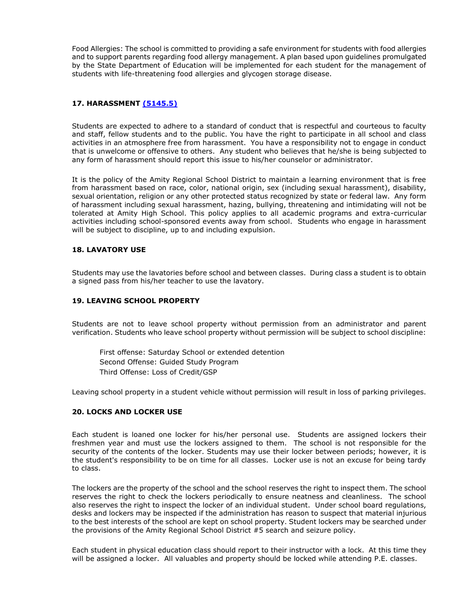Food Allergies: The school is committed to providing a safe environment for students with food allergies and to support parents regarding food allergy management. A plan based upon guidelines promulgated by the State Department of Education will be implemented for each student for the management of students with life-threatening food allergies and glycogen storage disease.

# <span id="page-31-0"></span>**17. HARASSMENT [\(5145.5\)](https://resources.finalsite.net/images/v1619533661/amityregion5org/wkuk4dw3cbedwv0iecht/PRF5145_5_Students_ProhibAgainstSexualHarass_091420.pdf)**

Students are expected to adhere to a standard of conduct that is respectful and courteous to faculty and staff, fellow students and to the public. You have the right to participate in all school and class activities in an atmosphere free from harassment. You have a responsibility not to engage in conduct that is unwelcome or offensive to others. Any student who believes that he/she is being subjected to any form of harassment should report this issue to his/her counselor or administrator.

It is the policy of the Amity Regional School District to maintain a learning environment that is free from harassment based on race, color, national origin, sex (including sexual harassment), disability, sexual orientation, religion or any other protected status recognized by state or federal law. Any form of harassment including sexual harassment, hazing, bullying, threatening and intimidating will not be tolerated at Amity High School. This policy applies to all academic programs and extra-curricular activities including school-sponsored events away from school. Students who engage in harassment will be subject to discipline, up to and including expulsion.

## <span id="page-31-1"></span>**18. LAVATORY USE**

Students may use the lavatories before school and between classes. During class a student is to obtain a signed pass from his/her teacher to use the lavatory.

## <span id="page-31-2"></span>**19. LEAVING SCHOOL PROPERTY**

Students are not to leave school property without permission from an administrator and parent verification. Students who leave school property without permission will be subject to school discipline:

First offense: Saturday School or extended detention Second Offense: Guided Study Program Third Offense: Loss of Credit/GSP

Leaving school property in a student vehicle without permission will result in loss of parking privileges.

# <span id="page-31-3"></span>**20. LOCKS AND LOCKER USE**

Each student is loaned one locker for his/her personal use. Students are assigned lockers their freshmen year and must use the lockers assigned to them. The school is not responsible for the security of the contents of the locker. Students may use their locker between periods; however, it is the student's responsibility to be on time for all classes. Locker use is not an excuse for being tardy to class.

The lockers are the property of the school and the school reserves the right to inspect them. The school reserves the right to check the lockers periodically to ensure neatness and cleanliness. The school also reserves the right to inspect the locker of an individual student. Under school board regulations, desks and lockers may be inspected if the administration has reason to suspect that material injurious to the best interests of the school are kept on school property. Student lockers may be searched under the provisions of the Amity Regional School District #5 search and seizure policy.

Each student in physical education class should report to their instructor with a lock. At this time they will be assigned a locker. All valuables and property should be locked while attending P.E. classes.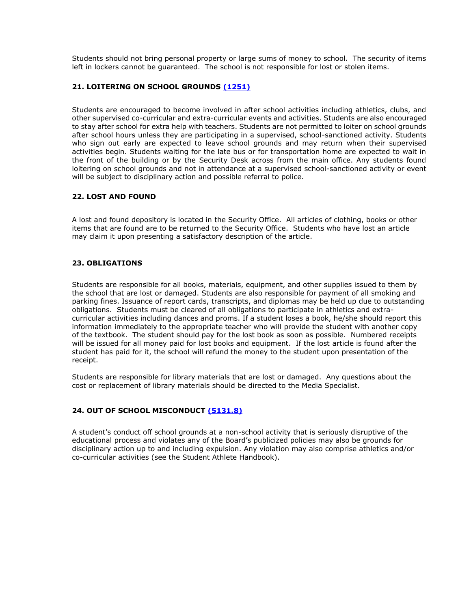Students should not bring personal property or large sums of money to school. The security of items left in lockers cannot be guaranteed. The school is not responsible for lost or stolen items.

# <span id="page-32-0"></span>**21. LOITERING ON SCHOOL GROUNDS [\(1251\)](https://resources.finalsite.net/images/v1563460054/amityregion5org/kfiozrs7cp2jipf0ogtc/community_relations_1000_1251_Loitering.pdf)**

Students are encouraged to become involved in after school activities including athletics, clubs, and other supervised co-curricular and extra-curricular events and activities. Students are also encouraged to stay after school for extra help with teachers. Students are not permitted to loiter on school grounds after school hours unless they are participating in a supervised, school-sanctioned activity. Students who sign out early are expected to leave school grounds and may return when their supervised activities begin. Students waiting for the late bus or for transportation home are expected to wait in the front of the building or by the Security Desk across from the main office. Any students found loitering on school grounds and not in attendance at a supervised school-sanctioned activity or event will be subject to disciplinary action and possible referral to police.

## <span id="page-32-1"></span>**22. LOST AND FOUND**

A lost and found depository is located in the Security Office. All articles of clothing, books or other items that are found are to be returned to the Security Office. Students who have lost an article may claim it upon presenting a satisfactory description of the article.

## <span id="page-32-2"></span>**23. OBLIGATIONS**

Students are responsible for all books, materials, equipment, and other supplies issued to them by the school that are lost or damaged. Students are also responsible for payment of all smoking and parking fines. Issuance of report cards, transcripts, and diplomas may be held up due to outstanding obligations. Students must be cleared of all obligations to participate in athletics and extracurricular activities including dances and proms. If a student loses a book, he/she should report this information immediately to the appropriate teacher who will provide the student with another copy of the textbook. The student should pay for the lost book as soon as possible. Numbered receipts will be issued for all money paid for lost books and equipment. If the lost article is found after the student has paid for it, the school will refund the money to the student upon presentation of the receipt.

Students are responsible for library materials that are lost or damaged. Any questions about the cost or replacement of library materials should be directed to the Media Specialist.

## <span id="page-32-3"></span>**24. OUT OF SCHOOL MISCONDUCT [\(5131.8\)](https://resources.finalsite.net/images/v1563560241/amityregion5org/k2fqu3nkecbbzhoyju4n/students_5000_5131_8_OutOfSchoolMisconduct.pdf)**

A student's conduct off school grounds at a non-school activity that is seriously disruptive of the educational process and violates any of the Board's publicized policies may also be grounds for disciplinary action up to and including expulsion. Any violation may also comprise athletics and/or co-curricular activities (see the Student Athlete Handbook).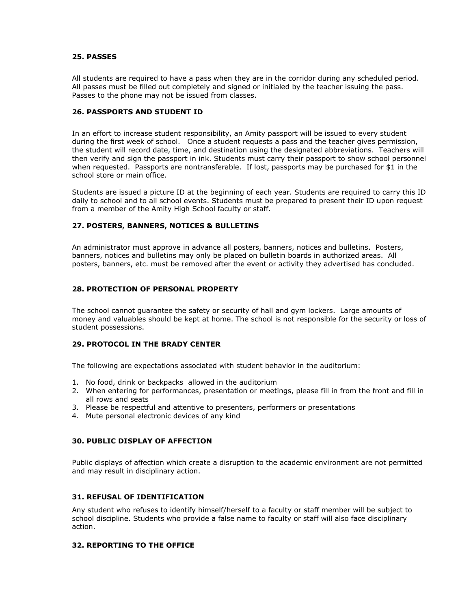## <span id="page-33-0"></span>**25. PASSES**

All students are required to have a pass when they are in the corridor during any scheduled period. All passes must be filled out completely and signed or initialed by the teacher issuing the pass. Passes to the phone may not be issued from classes.

## <span id="page-33-1"></span>**26. PASSPORTS AND STUDENT ID**

In an effort to increase student responsibility, an Amity passport will be issued to every student during the first week of school. Once a student requests a pass and the teacher gives permission, the student will record date, time, and destination using the designated abbreviations. Teachers will then verify and sign the passport in ink. Students must carry their passport to show school personnel when requested. Passports are nontransferable. If lost, passports may be purchased for \$1 in the school store or main office.

Students are issued a picture ID at the beginning of each year. Students are required to carry this ID daily to school and to all school events. Students must be prepared to present their ID upon request from a member of the Amity High School faculty or staff.

## <span id="page-33-2"></span>**27. POSTERS, BANNERS, NOTICES & BULLETINS**

An administrator must approve in advance all posters, banners, notices and bulletins. Posters, banners, notices and bulletins may only be placed on bulletin boards in authorized areas. All posters, banners, etc. must be removed after the event or activity they advertised has concluded.

## <span id="page-33-3"></span>**28. PROTECTION OF PERSONAL PROPERTY**

The school cannot guarantee the safety or security of hall and gym lockers. Large amounts of money and valuables should be kept at home. The school is not responsible for the security or loss of student possessions.

#### <span id="page-33-4"></span>**29. PROTOCOL IN THE BRADY CENTER**

The following are expectations associated with student behavior in the auditorium:

- 1. No food, drink or backpacks allowed in the auditorium
- 2. When entering for performances, presentation or meetings, please fill in from the front and fill in all rows and seats
- 3. Please be respectful and attentive to presenters, performers or presentations
- 4. Mute personal electronic devices of any kind

## <span id="page-33-5"></span>**30. PUBLIC DISPLAY OF AFFECTION**

Public displays of affection which create a disruption to the academic environment are not permitted and may result in disciplinary action.

#### <span id="page-33-6"></span>**31. REFUSAL OF IDENTIFICATION**

Any student who refuses to identify himself/herself to a faculty or staff member will be subject to school discipline. Students who provide a false name to faculty or staff will also face disciplinary action.

## <span id="page-33-7"></span>**32. REPORTING TO THE OFFICE**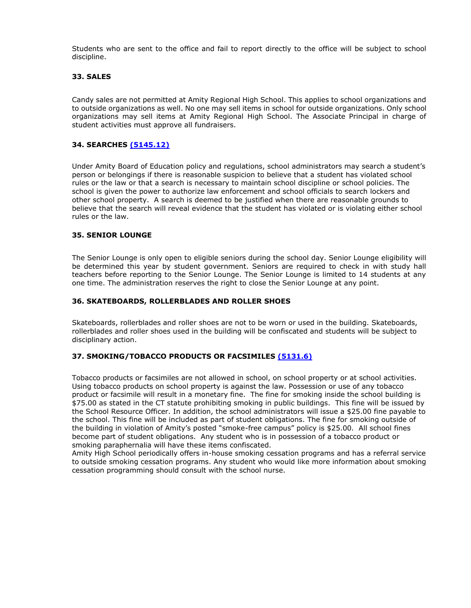Students who are sent to the office and fail to report directly to the office will be subject to school discipline.

## <span id="page-34-0"></span>**33. SALES**

Candy sales are not permitted at Amity Regional High School. This applies to school organizations and to outside organizations as well. No one may sell items in school for outside organizations. Only school organizations may sell items at Amity Regional High School. The Associate Principal in charge of student activities must approve all fundraisers.

## <span id="page-34-1"></span>**34. SEARCHES [\(5145.12\)](https://resources.finalsite.net/images/v1563560245/amityregion5org/xrqn7w42f3ujws1ttgaf/students_5000_5145_12_SearchSeizure.pdf)**

Under Amity Board of Education policy and regulations, school administrators may search a student's person or belongings if there is reasonable suspicion to believe that a student has violated school rules or the law or that a search is necessary to maintain school discipline or school policies. The school is given the power to authorize law enforcement and school officials to search lockers and other school property. A search is deemed to be justified when there are reasonable grounds to believe that the search will reveal evidence that the student has violated or is violating either school rules or the law.

## <span id="page-34-2"></span>**35. SENIOR LOUNGE**

The Senior Lounge is only open to eligible seniors during the school day. Senior Lounge eligibility will be determined this year by student government. Seniors are required to check in with study hall teachers before reporting to the Senior Lounge. The Senior Lounge is limited to 14 students at any one time. The administration reserves the right to close the Senior Lounge at any point.

## <span id="page-34-3"></span>**36. SKATEBOARDS, ROLLERBLADES AND ROLLER SHOES**

Skateboards, rollerblades and roller shoes are not to be worn or used in the building. Skateboards, rollerblades and roller shoes used in the building will be confiscated and students will be subject to disciplinary action.

## <span id="page-34-4"></span>**37. SMOKING/TOBACCO PRODUCTS OR FACSIMILES [\(5131.6\)](https://resources.finalsite.net/images/v1645017552/amityregion5org/x1fq1fehakxovgy2c1u6/students_5000_5131_6_Alcohol.pdf)**

Tobacco products or facsimiles are not allowed in school, on school property or at school activities. Using tobacco products on school property is against the law. Possession or use of any tobacco product or facsimile will result in a monetary fine. The fine for smoking inside the school building is \$75.00 as stated in the CT statute prohibiting smoking in public buildings. This fine will be issued by the School Resource Officer. In addition, the school administrators will issue a \$25.00 fine payable to the school. This fine will be included as part of student obligations. The fine for smoking outside of the building in violation of Amity's posted "smoke-free campus" policy is \$25.00. All school fines become part of student obligations. Any student who is in possession of a tobacco product or smoking paraphernalia will have these items confiscated.

Amity High School periodically offers in-house smoking cessation programs and has a referral service to outside smoking cessation programs. Any student who would like more information about smoking cessation programming should consult with the school nurse.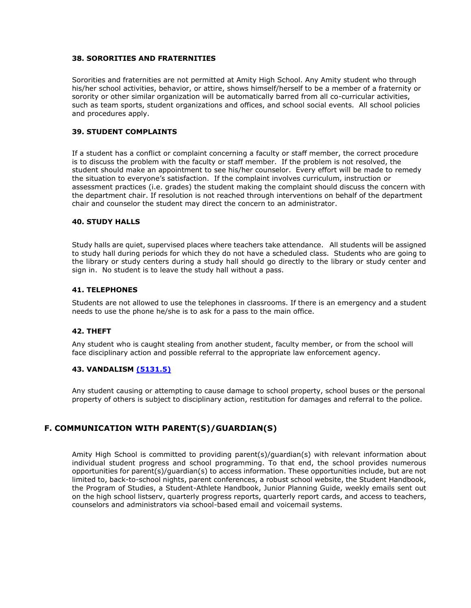## <span id="page-35-0"></span>**38. SORORITIES AND FRATERNITIES**

Sororities and fraternities are not permitted at Amity High School. Any Amity student who through his/her school activities, behavior, or attire, shows himself/herself to be a member of a fraternity or sorority or other similar organization will be automatically barred from all co-curricular activities, such as team sports, student organizations and offices, and school social events. All school policies and procedures apply.

## <span id="page-35-1"></span>**39. STUDENT COMPLAINTS**

If a student has a conflict or complaint concerning a faculty or staff member, the correct procedure is to discuss the problem with the faculty or staff member. If the problem is not resolved, the student should make an appointment to see his/her counselor. Every effort will be made to remedy the situation to everyone's satisfaction. If the complaint involves curriculum, instruction or assessment practices (i.e. grades) the student making the complaint should discuss the concern with the department chair. If resolution is not reached through interventions on behalf of the department chair and counselor the student may direct the concern to an administrator.

#### <span id="page-35-2"></span>**40. STUDY HALLS**

Study halls are quiet, supervised places where teachers take attendance. All students will be assigned to study hall during periods for which they do not have a scheduled class. Students who are going to the library or study centers during a study hall should go directly to the library or study center and sign in. No student is to leave the study hall without a pass.

#### <span id="page-35-3"></span>**41. TELEPHONES**

Students are not allowed to use the telephones in classrooms. If there is an emergency and a student needs to use the phone he/she is to ask for a pass to the main office.

#### <span id="page-35-4"></span>**42. THEFT**

Any student who is caught stealing from another student, faculty member, or from the school will face disciplinary action and possible referral to the appropriate law enforcement agency.

## <span id="page-35-5"></span>**43. VANDALISM [\(5131.5\)](https://resources.finalsite.net/images/v1563560238/amityregion5org/asykclpqggnpuel92fys/students_5000_5131_5_Vandalism.pdf)**

Any student causing or attempting to cause damage to school property, school buses or the personal property of others is subject to disciplinary action, restitution for damages and referral to the police.

# <span id="page-35-6"></span>**F. COMMUNICATION WITH PARENT(S)/GUARDIAN(S)**

Amity High School is committed to providing parent(s)/guardian(s) with relevant information about individual student progress and school programming. To that end, the school provides numerous opportunities for parent(s)/guardian(s) to access information. These opportunities include, but are not limited to, back-to-school nights, parent conferences, a robust school website, the Student Handbook, the Program of Studies, a Student-Athlete Handbook, Junior Planning Guide, weekly emails sent out on the high school listserv, quarterly progress reports, quarterly report cards, and access to teachers, counselors and administrators via school-based email and voicemail systems.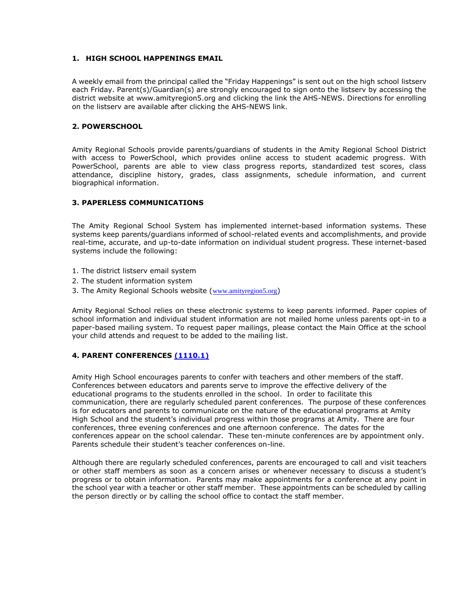## <span id="page-36-0"></span>**1. HIGH SCHOOL HAPPENINGS EMAIL**

A weekly email from the principal called the "Friday Happenings" is sent out on the high school listserv each Friday. Parent(s)/Guardian(s) are strongly encouraged to sign onto the listserv by accessing the district website at www.amityregion5.org and clicking the link the AHS-NEWS. Directions for enrolling on the listserv are available after clicking the AHS-NEWS link.

## <span id="page-36-1"></span>**2. POWERSCHOOL**

Amity Regional Schools provide parents/guardians of students in the Amity Regional School District with access to PowerSchool, which provides online access to student academic progress. With PowerSchool, parents are able to view class progress reports, standardized test scores, class attendance, discipline history, grades, class assignments, schedule information, and current biographical information.

## <span id="page-36-2"></span>**3. PAPERLESS COMMUNICATIONS**

The Amity Regional School System has implemented internet-based information systems. These systems keep parents/guardians informed of school-related events and accomplishments, and provide real-time, accurate, and up-to-date information on individual student progress. These internet-based systems include the following:

- 1. The district listserv email system
- 2. The student information system
- 3. The Amity Regional Schools website ([www.amityregion5.org](http://www.amityregion5.org/))

Amity Regional School relies on these electronic systems to keep parents informed. Paper copies of school information and individual student information are not mailed home unless parents opt-in to a paper-based mailing system. To request paper mailings, please contact the Main Office at the school your child attends and request to be added to the mailing list.

## <span id="page-36-3"></span>**4. PARENT CONFERENCES [\(1110.1\)](https://resources.finalsite.net/images/v1636556097/amityregion5org/sykzv9tpim9thorduquw/community_relations_1000_1110_1_Parent.pdf)**

Amity High School encourages parents to confer with teachers and other members of the staff. Conferences between educators and parents serve to improve the effective delivery of the educational programs to the students enrolled in the school. In order to facilitate this communication, there are regularly scheduled parent conferences. The purpose of these conferences is for educators and parents to communicate on the nature of the educational programs at Amity High School and the student's individual progress within those programs at Amity. There are four conferences, three evening conferences and one afternoon conference. The dates for the conferences appear on the school calendar. These ten-minute conferences are by appointment only. Parents schedule their student's teacher conferences on-line.

Although there are regularly scheduled conferences, parents are encouraged to call and visit teachers or other staff members as soon as a concern arises or whenever necessary to discuss a student's progress or to obtain information.Parents may make appointments for a conference at any point in the school year with a teacher or other staff member. These appointments can be scheduled by calling the person directly or by calling the school office to contact the staff member.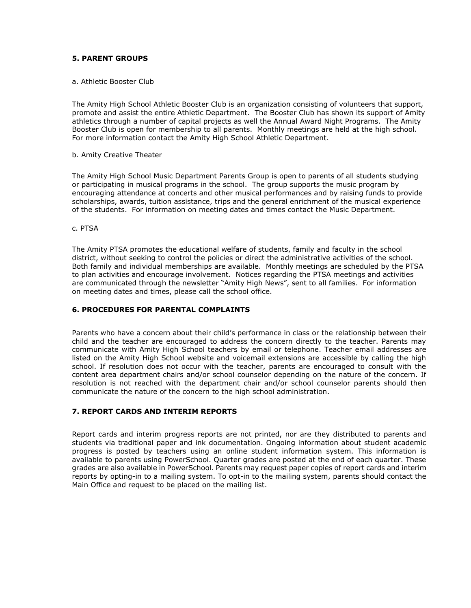## <span id="page-37-0"></span>**5. PARENT GROUPS**

#### <span id="page-37-1"></span>a. Athletic Booster Club

The Amity High School Athletic Booster Club is an organization consisting of volunteers that support, promote and assist the entire Athletic Department. The Booster Club has shown its support of Amity athletics through a number of capital projects as well the Annual Award Night Programs. The Amity Booster Club is open for membership to all parents. Monthly meetings are held at the high school. For more information contact the Amity High School Athletic Department.

#### <span id="page-37-2"></span>b. Amity Creative Theater

The Amity High School Music Department Parents Group is open to parents of all students studying or participating in musical programs in the school. The group supports the music program by encouraging attendance at concerts and other musical performances and by raising funds to provide scholarships, awards, tuition assistance, trips and the general enrichment of the musical experience of the students. For information on meeting dates and times contact the Music Department.

#### <span id="page-37-3"></span>c. PTSA

The Amity PTSA promotes the educational welfare of students, family and faculty in the school district, without seeking to control the policies or direct the administrative activities of the school. Both family and individual memberships are available. Monthly meetings are scheduled by the PTSA to plan activities and encourage involvement. Notices regarding the PTSA meetings and activities are communicated through the newsletter "Amity High News", sent to all families. For information on meeting dates and times, please call the school office.

#### <span id="page-37-4"></span>**6. PROCEDURES FOR PARENTAL COMPLAINTS**

Parents who have a concern about their child's performance in class or the relationship between their child and the teacher are encouraged to address the concern directly to the teacher. Parents may communicate with Amity High School teachers by email or telephone. Teacher email addresses are listed on the Amity High School website and voicemail extensions are accessible by calling the high school. If resolution does not occur with the teacher, parents are encouraged to consult with the content area department chairs and/or school counselor depending on the nature of the concern. If resolution is not reached with the department chair and/or school counselor parents should then communicate the nature of the concern to the high school administration.

#### <span id="page-37-5"></span>**7. REPORT CARDS AND INTERIM REPORTS**

Report cards and interim progress reports are not printed, nor are they distributed to parents and students via traditional paper and ink documentation. Ongoing information about student academic progress is posted by teachers using an online student information system. This information is available to parents using PowerSchool. Quarter grades are posted at the end of each quarter. These grades are also available in PowerSchool. Parents may request paper copies of report cards and interim reports by opting-in to a mailing system. To opt-in to the mailing system, parents should contact the Main Office and request to be placed on the mailing list.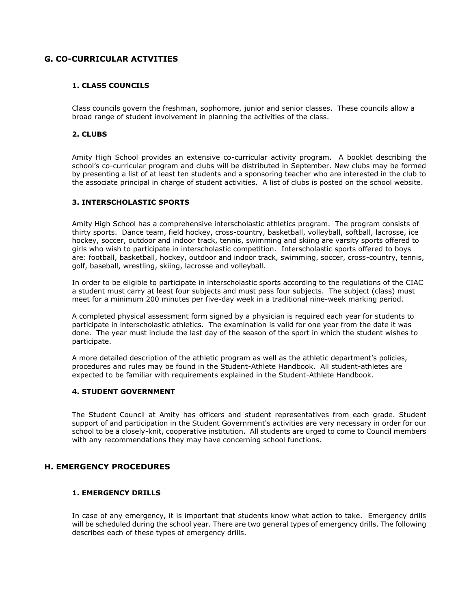# <span id="page-38-1"></span><span id="page-38-0"></span>**G. CO-CURRICULAR ACTVITIES**

## **1. CLASS COUNCILS**

Class councils govern the freshman, sophomore, junior and senior classes. These councils allow a broad range of student involvement in planning the activities of the class.

## <span id="page-38-2"></span>**2. CLUBS**

Amity High School provides an extensive co-curricular activity program. A booklet describing the school's co-curricular program and clubs will be distributed in September. New clubs may be formed by presenting a list of at least ten students and a sponsoring teacher who are interested in the club to the associate principal in charge of student activities. A list of clubs is posted on the school website.

## <span id="page-38-3"></span>**3. INTERSCHOLASTIC SPORTS**

Amity High School has a comprehensive interscholastic athletics program. The program consists of thirty sports. Dance team, field hockey, cross-country, basketball, volleyball, softball, lacrosse, ice hockey, soccer, outdoor and indoor track, tennis, swimming and skiing are varsity sports offered to girls who wish to participate in interscholastic competition. Interscholastic sports offered to boys are: football, basketball, hockey, outdoor and indoor track, swimming, soccer, cross-country, tennis, golf, baseball, wrestling, skiing, lacrosse and volleyball.

In order to be eligible to participate in interscholastic sports according to the regulations of the CIAC a student must carry at least four subjects and must pass four subjects. The subject (class) must meet for a minimum 200 minutes per five-day week in a traditional nine-week marking period.

A completed physical assessment form signed by a physician is required each year for students to participate in interscholastic athletics. The examination is valid for one year from the date it was done. The year must include the last day of the season of the sport in which the student wishes to participate.

A more detailed description of the athletic program as well as the athletic department's policies, procedures and rules may be found in the Student-Athlete Handbook. All student-athletes are expected to be familiar with requirements explained in the Student-Athlete Handbook.

## <span id="page-38-4"></span>**4. STUDENT GOVERNMENT**

The Student Council at Amity has officers and student representatives from each grade. Student support of and participation in the Student Government's activities are very necessary in order for our school to be a closely-knit, cooperative institution. All students are urged to come to Council members with any recommendations they may have concerning school functions.

# <span id="page-38-6"></span><span id="page-38-5"></span>**H. EMERGENCY PROCEDURES**

#### **1. EMERGENCY DRILLS**

In case of any emergency, it is important that students know what action to take. Emergency drills will be scheduled during the school year. There are two general types of emergency drills. The following describes each of these types of emergency drills.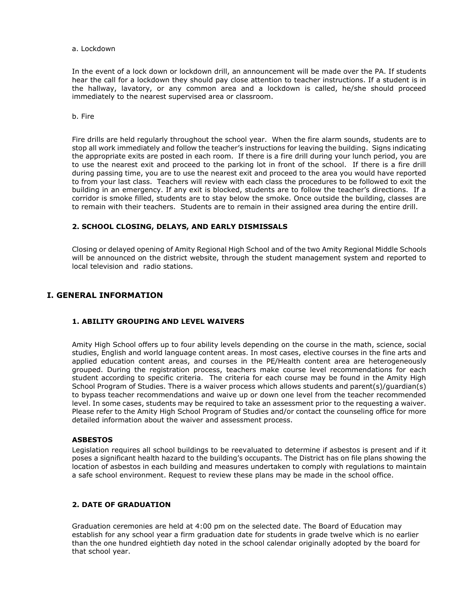<span id="page-39-0"></span>a. Lockdown

In the event of a lock down or lockdown drill, an announcement will be made over the PA. If students hear the call for a lockdown they should pay close attention to teacher instructions. If a student is in the hallway, lavatory, or any common area and a lockdown is called, he/she should proceed immediately to the nearest supervised area or classroom.

<span id="page-39-1"></span>b. Fire

Fire drills are held regularly throughout the school year. When the fire alarm sounds, students are to stop all work immediately and follow the teacher's instructions for leaving the building. Signs indicating the appropriate exits are posted in each room. If there is a fire drill during your lunch period, you are to use the nearest exit and proceed to the parking lot in front of the school. If there is a fire drill during passing time, you are to use the nearest exit and proceed to the area you would have reported to from your last class. Teachers will review with each class the procedures to be followed to exit the building in an emergency. If any exit is blocked, students are to follow the teacher's directions. If a corridor is smoke filled, students are to stay below the smoke. Once outside the building, classes are to remain with their teachers. Students are to remain in their assigned area during the entire drill.

## <span id="page-39-2"></span>**2. SCHOOL CLOSING, DELAYS, AND EARLY DISMISSALS**

Closing or delayed opening of Amity Regional High School and of the two Amity Regional Middle Schools will be announced on the district website, through the student management system and reported to local television and radio stations.

## <span id="page-39-4"></span><span id="page-39-3"></span>**I. GENERAL INFORMATION**

## **1. ABILITY GROUPING AND LEVEL WAIVERS**

Amity High School offers up to four ability levels depending on the course in the math, science, social studies, English and world language content areas. In most cases, elective courses in the fine arts and applied education content areas, and courses in the PE/Health content area are heterogeneously grouped. During the registration process, teachers make course level recommendations for each student according to specific criteria. The criteria for each course may be found in the Amity High School Program of Studies. There is a waiver process which allows students and parent(s)/guardian(s) to bypass teacher recommendations and waive up or down one level from the teacher recommended level. In some cases, students may be required to take an assessment prior to the requesting a waiver. Please refer to the Amity High School Program of Studies and/or contact the counseling office for more detailed information about the waiver and assessment process.

#### **ASBESTOS**

Legislation requires all school buildings to be reevaluated to determine if asbestos is present and if it poses a significant health hazard to the building's occupants. The District has on file plans showing the location of asbestos in each building and measures undertaken to comply with regulations to maintain a safe school environment. Request to review these plans may be made in the school office.

## <span id="page-39-5"></span>**2. DATE OF GRADUATION**

Graduation ceremonies are held at 4:00 pm on the selected date. The Board of Education may establish for any school year a firm graduation date for students in grade twelve which is no earlier than the one hundred eightieth day noted in the school calendar originally adopted by the board for that school year.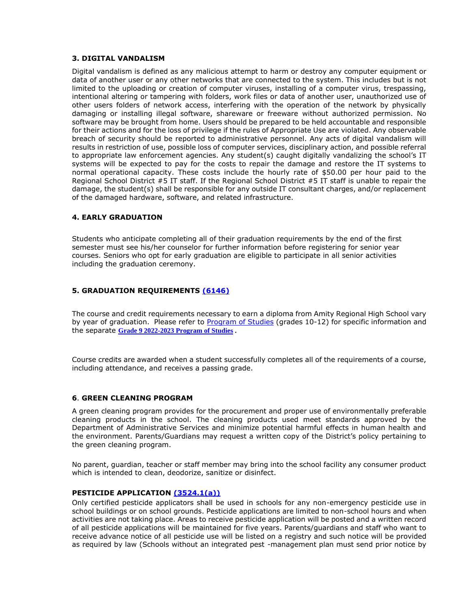## <span id="page-40-0"></span>**3. DIGITAL VANDALISM**

Digital vandalism is defined as any malicious attempt to harm or destroy any computer equipment or data of another user or any other networks that are connected to the system. This includes but is not limited to the uploading or creation of computer viruses, installing of a computer virus, trespassing, intentional altering or tampering with folders, work files or data of another user, unauthorized use of other users folders of network access, interfering with the operation of the network by physically damaging or installing illegal software, shareware or freeware without authorized permission. No software may be brought from home. Users should be prepared to be held accountable and responsible for their actions and for the loss of privilege if the rules of Appropriate Use are violated. Any observable breach of security should be reported to administrative personnel. Any acts of digital vandalism will results in restriction of use, possible loss of computer services, disciplinary action, and possible referral to appropriate law enforcement agencies. Any student(s) caught digitally vandalizing the school's IT systems will be expected to pay for the costs to repair the damage and restore the IT systems to normal operational capacity. These costs include the hourly rate of \$50.00 per hour paid to the Regional School District #5 IT staff. If the Regional School District #5 IT staff is unable to repair the damage, the student(s) shall be responsible for any outside IT consultant charges, and/or replacement of the damaged hardware, software, and related infrastructure.

## <span id="page-40-1"></span>**4. EARLY GRADUATION**

Students who anticipate completing all of their graduation requirements by the end of the first semester must see his/her counselor for further information before registering for senior year courses. Seniors who opt for early graduation are eligible to participate in all senior activities including the graduation ceremony.

## <span id="page-40-2"></span>**5. GRADUATION REQUIREMENTS [\(6146\)](https://resources.finalsite.net/images/v1569511925/amityregion5org/gpibk0edmb3hwkylza6r/instruction_6000_6146_GradRequirements.pdf)**

The course and credit requirements necessary to earn a diploma from Amity Regional High School vary by year of graduation. Please refer to [Program of Studies](https://resources.finalsite.net/images/v1644249857/amityregion5org/un2c39yq5feikhl2q6if/ARHSProgramofStudies2022-2023.pdf) (grades 10-12) for specific information and the separate **[Grade 9 2022-2023 Program of Studies](https://resources.finalsite.net/images/v1644791723/amityregion5org/dhccymtne0lux1q0jlqp/ProgramofStudiesGrade9FinalCopy.pdf) .**

Course credits are awarded when a student successfully completes all of the requirements of a course, including attendance, and receives a passing grade.

#### <span id="page-40-3"></span>**6**. **GREEN CLEANING PROGRAM**

A green cleaning program provides for the procurement and proper use of environmentally preferable cleaning products in the school. The cleaning products used meet standards approved by the Department of Administrative Services and minimize potential harmful effects in human health and the environment. Parents/Guardians may request a written copy of the District's policy pertaining to the green cleaning program.

No parent, guardian, teacher or staff member may bring into the school facility any consumer product which is intended to clean, deodorize, sanitize or disinfect.

#### **PESTICIDE APPLICATION [\(3524.1\(a\)\)](https://resources.finalsite.net/images/v1563541992/amityregion5org/bk8kcugc4ybtp74euqxu/business_3000_3524_1_HazardousMaterial.pdf)**

Only certified pesticide applicators shall be used in schools for any non-emergency pesticide use in school buildings or on school grounds. Pesticide applications are limited to non-school hours and when activities are not taking place. Areas to receive pesticide application will be posted and a written record of all pesticide applications will be maintained for five years. Parents/guardians and staff who want to receive advance notice of all pesticide use will be listed on a registry and such notice will be provided as required by law (Schools without an integrated pest -management plan must send prior notice by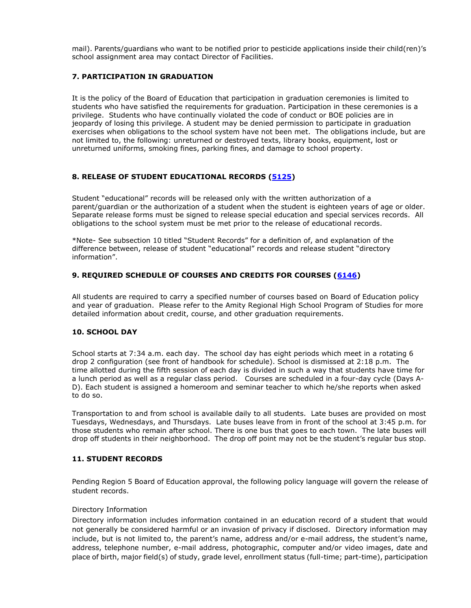mail). Parents/guardians who want to be notified prior to pesticide applications inside their child(ren)'s school assignment area may contact Director of Facilities.

## <span id="page-41-0"></span>**7. PARTICIPATION IN GRADUATION**

It is the policy of the Board of Education that participation in graduation ceremonies is limited to students who have satisfied the requirements for graduation. Participation in these ceremonies is a privilege. Students who have continually violated the code of conduct or BOE policies are in jeopardy of losing this privilege. A student may be denied permission to participate in graduation exercises when obligations to the school system have not been met. The obligations include, but are not limited to, the following: unreturned or destroyed texts, library books, equipment, lost or unreturned uniforms, smoking fines, parking fines, and damage to school property.

## <span id="page-41-1"></span>**8. RELEASE OF STUDENT EDUCATIONAL RECORDS [\(5125\)](https://resources.finalsite.net/images/v1619023627/amityregion5org/ehgrt4h9hz6au5wsdtiu/students_5000_5125_1_ConfidentialityOfStudentRecords.pdf)**

Student "educational" records will be released only with the written authorization of a parent/guardian or the authorization of a student when the student is eighteen years of age or older. Separate release forms must be signed to release special education and special services records. All obligations to the school system must be met prior to the release of educational records.

\*Note- See subsection 10 titled "Student Records" for a definition of, and explanation of the difference between, release of student "educational" records and release student "directory information".

## <span id="page-41-2"></span>**9. REQUIRED SCHEDULE OF COURSES AND CREDITS FOR COURSES [\(6146\)](https://resources.finalsite.net/images/v1569511925/amityregion5org/gpibk0edmb3hwkylza6r/instruction_6000_6146_GradRequirements.pdf)**

All students are required to carry a specified number of courses based on Board of Education policy and year of graduation. Please refer to the Amity Regional High School Program of Studies for more detailed information about credit, course, and other graduation requirements.

## <span id="page-41-3"></span>**10. SCHOOL DAY**

School starts at 7:34 a.m. each day. The school day has eight periods which meet in a rotating 6 drop 2 configuration (see front of handbook for schedule). School is dismissed at 2:18 p.m. The time allotted during the fifth session of each day is divided in such a way that students have time for a lunch period as well as a regular class period. Courses are scheduled in a four-day cycle (Days A-D). Each student is assigned a homeroom and seminar teacher to which he/she reports when asked to do so.

Transportation to and from school is available daily to all students. Late buses are provided on most Tuesdays, Wednesdays, and Thursdays. Late buses leave from in front of the school at 3:45 p.m. for those students who remain after school. There is one bus that goes to each town. The late buses will drop off students in their neighborhood. The drop off point may not be the student's regular bus stop.

## <span id="page-41-4"></span>**11. STUDENT RECORDS**

Pending Region 5 Board of Education approval, the following policy language will govern the release of student records.

#### Directory Information

Directory information includes information contained in an education record of a student that would not generally be considered harmful or an invasion of privacy if disclosed. Directory information may include, but is not limited to, the parent's name, address and/or e-mail address, the student's name, address, telephone number, e-mail address, photographic, computer and/or video images, date and place of birth, major field(s) of study, grade level, enrollment status (full-time; part-time), participation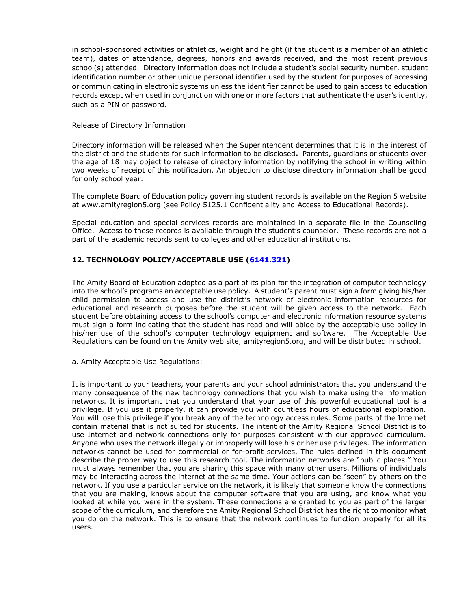in school-sponsored activities or athletics, weight and height (if the student is a member of an athletic team), dates of attendance, degrees, honors and awards received, and the most recent previous school(s) attended. Directory information does not include a student's social security number, student identification number or other unique personal identifier used by the student for purposes of accessing or communicating in electronic systems unless the identifier cannot be used to gain access to education records except when used in conjunction with one or more factors that authenticate the user's identity, such as a PIN or password.

## Release of Directory Information

Directory information will be released when the Superintendent determines that it is in the interest of the district and the students for such information to be disclosed**.** Parents, guardians or students over the age of 18 may object to release of directory information by notifying the school in writing within two weeks of receipt of this notification. An objection to disclose directory information shall be good for only school year.

The complete Board of Education policy governing student records is available on the Region 5 website at www.amityregion5.org (see Policy 5125.1 Confidentiality and Access to Educational Records).

Special education and special services records are maintained in a separate file in the Counseling Office. Access to these records is available through the student's counselor. These records are not a part of the academic records sent to colleges and other educational institutions.

## <span id="page-42-0"></span>**12. TECHNOLOGY POLICY/ACCEPTABLE USE [\(6141.321\)](https://resources.finalsite.net/images/v1579795455/amityregion5org/mmqeutoamqyd1q8poaqk/instruction_6000_6141_321_InternetAUP.pdf)**

The Amity Board of Education adopted as a part of its plan for the integration of computer technology into the school's programs an acceptable use policy. A student's parent must sign a form giving his/her child permission to access and use the district's network of electronic information resources for educational and research purposes before the student will be given access to the network. Each student before obtaining access to the school's computer and electronic information resource systems must sign a form indicating that the student has read and will abide by the acceptable use policy in his/her use of the school's computer technology equipment and software. The Acceptable Use Regulations can be found on the Amity web site, amityregion5.org, and will be distributed in school.

<span id="page-42-1"></span>a. Amity Acceptable Use Regulations:

It is important to your teachers, your parents and your school administrators that you understand the many consequence of the new technology connections that you wish to make using the information networks. It is important that you understand that your use of this powerful educational tool is a privilege. If you use it properly, it can provide you with countless hours of educational exploration. You will lose this privilege if you break any of the technology access rules. Some parts of the Internet contain material that is not suited for students. The intent of the Amity Regional School District is to use Internet and network connections only for purposes consistent with our approved curriculum. Anyone who uses the network illegally or improperly will lose his or her use privileges. The information networks cannot be used for commercial or for-profit services. The rules defined in this document describe the proper way to use this research tool. The information networks are "public places." You must always remember that you are sharing this space with many other users. Millions of individuals may be interacting across the internet at the same time. Your actions can be "seen" by others on the network. If you use a particular service on the network, it is likely that someone know the connections that you are making, knows about the computer software that you are using, and know what you looked at while you were in the system. These connections are granted to you as part of the larger scope of the curriculum, and therefore the Amity Regional School District has the right to monitor what you do on the network. This is to ensure that the network continues to function properly for all its users.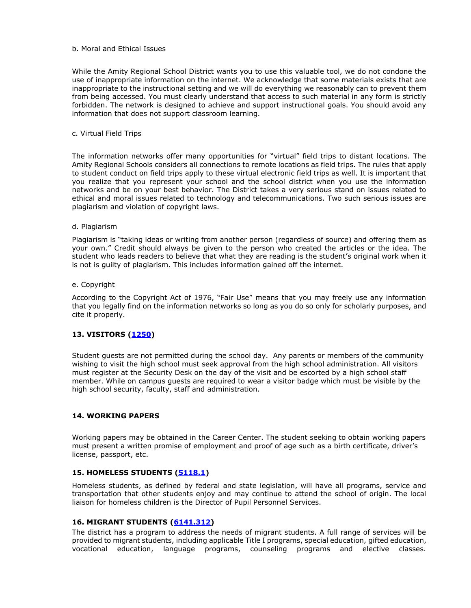## <span id="page-43-0"></span>b. Moral and Ethical Issues

While the Amity Regional School District wants you to use this valuable tool, we do not condone the use of inappropriate information on the internet. We acknowledge that some materials exists that are inappropriate to the instructional setting and we will do everything we reasonably can to prevent them from being accessed. You must clearly understand that access to such material in any form is strictly forbidden. The network is designed to achieve and support instructional goals. You should avoid any information that does not support classroom learning.

#### <span id="page-43-1"></span>c. Virtual Field Trips

The information networks offer many opportunities for "virtual" field trips to distant locations. The Amity Regional Schools considers all connections to remote locations as field trips. The rules that apply to student conduct on field trips apply to these virtual electronic field trips as well. It is important that you realize that you represent your school and the school district when you use the information networks and be on your best behavior. The District takes a very serious stand on issues related to ethical and moral issues related to technology and telecommunications. Two such serious issues are plagiarism and violation of copyright laws.

#### <span id="page-43-2"></span>d. Plagiarism

Plagiarism is "taking ideas or writing from another person (regardless of source) and offering them as your own." Credit should always be given to the person who created the articles or the idea. The student who leads readers to believe that what they are reading is the student's original work when it is not is guilty of plagiarism. This includes information gained off the internet.

#### <span id="page-43-3"></span>e. Copyright

According to the Copyright Act of 1976, "Fair Use" means that you may freely use any information that you legally find on the information networks so long as you do so only for scholarly purposes, and cite it properly.

## <span id="page-43-4"></span>**13. VISITORS [\(1250\)](https://resources.finalsite.net/images/v1563460054/amityregion5org/ccqzoh0zwz0hxzgfwnca/community_relations_1000_1250_Visits.pdf)**

Student guests are not permitted during the school day. Any parents or members of the community wishing to visit the high school must seek approval from the high school administration. All visitors must register at the Security Desk on the day of the visit and be escorted by a high school staff member. While on campus guests are required to wear a visitor badge which must be visible by the high school security, faculty, staff and administration.

## <span id="page-43-5"></span>**14. WORKING PAPERS**

Working papers may be obtained in the Career Center. The student seeking to obtain working papers must present a written promise of employment and proof of age such as a birth certificate, driver's license, passport, etc.

## <span id="page-43-6"></span>**15. HOMELESS STUDENTS [\(5118.1\)](https://resources.finalsite.net/images/v1584457894/amityregion5org/auqexis7hkudjx1y3gjt/POLICYONLYStudents_P5118_1_HomelessStudents_030920Autosaved.pdf)**

Homeless students, as defined by federal and state legislation, will have all programs, service and transportation that other students enjoy and may continue to attend the school of origin. The local liaison for homeless children is the Director of Pupil Personnel Services.

#### **16. MIGRANT STUDENTS [\(6141.312\)](https://resources.finalsite.net/images/v1563719311/amityregion5org/gsws2xxjp8cpypmgxxsw/instruction_6000_6141_312_Migrant.pdf)**

The district has a program to address the needs of migrant students. A full range of services will be provided to migrant students, including applicable Title I programs, special education, gifted education, vocational education, language programs, counseling programs and elective classes.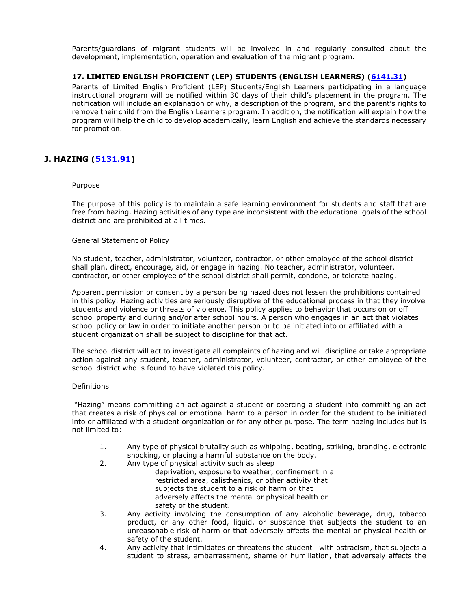Parents/guardians of migrant students will be involved in and regularly consulted about the development, implementation, operation and evaluation of the migrant program.

## **17. LIMITED ENGLISH PROFICIENT (LEP) STUDENTS (ENGLISH LEARNERS) [\(6141.31\)](https://resources.finalsite.net/images/v1579800119/amityregion5org/zoojqy4bigf4lzy7dagr/Instruction_P6141_311_EnglishLearner_011320.pdf)**

Parents of Limited English Proficient (LEP) Students/English Learners participating in a language instructional program will be notified within 30 days of their child's placement in the program. The notification will include an explanation of why, a description of the program, and the parent's rights to remove their child from the English Learners program. In addition, the notification will explain how the program will help the child to develop academically, learn English and achieve the standards necessary for promotion.

# <span id="page-44-0"></span>**J. HAZING [\(5131.91\)](https://resources.finalsite.net/images/v1563560242/amityregion5org/qswlh0qmtz1fgguesauu/students_5000_5131_91_Hazing.pdf)**

#### Purpose

The purpose of this policy is to maintain a safe learning environment for students and staff that are free from hazing. Hazing activities of any type are inconsistent with the educational goals of the school district and are prohibited at all times.

## General Statement of Policy

No student, teacher, administrator, volunteer, contractor, or other employee of the school district shall plan, direct, encourage, aid, or engage in hazing. No teacher, administrator, volunteer, contractor, or other employee of the school district shall permit, condone, or tolerate hazing.

Apparent permission or consent by a person being hazed does not lessen the prohibitions contained in this policy. Hazing activities are seriously disruptive of the educational process in that they involve students and violence or threats of violence. This policy applies to behavior that occurs on or off school property and during and/or after school hours. A person who engages in an act that violates school policy or law in order to initiate another person or to be initiated into or affiliated with a student organization shall be subject to discipline for that act.

The school district will act to investigate all complaints of hazing and will discipline or take appropriate action against any student, teacher, administrator, volunteer, contractor, or other employee of the school district who is found to have violated this policy.

#### Definitions

"Hazing" means committing an act against a student or coercing a student into committing an act that creates a risk of physical or emotional harm to a person in order for the student to be initiated into or affiliated with a student organization or for any other purpose. The term hazing includes but is not limited to:

- 1. Any type of physical brutality such as whipping, beating, striking, branding, electronic shocking, or placing a harmful substance on the body.
- 2. Any type of physical activity such as sleep
	- deprivation, exposure to weather, confinement in a restricted area, calisthenics, or other activity that subjects the student to a risk of harm or that adversely affects the mental or physical health or safety of the student.
- 3. Any activity involving the consumption of any alcoholic beverage, drug, tobacco product, or any other food, liquid, or substance that subjects the student to an unreasonable risk of harm or that adversely affects the mental or physical health or safety of the student.
- 4. Any activity that intimidates or threatens the student with ostracism, that subjects a student to stress, embarrassment, shame or humiliation, that adversely affects the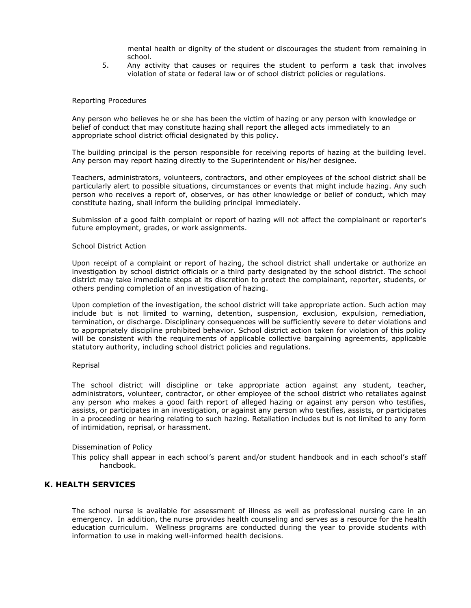mental health or dignity of the student or discourages the student from remaining in school.

5. Any activity that causes or requires the student to perform a task that involves violation of state or federal law or of school district policies or regulations.

#### Reporting Procedures

Any person who believes he or she has been the victim of hazing or any person with knowledge or belief of conduct that may constitute hazing shall report the alleged acts immediately to an appropriate school district official designated by this policy.

The building principal is the person responsible for receiving reports of hazing at the building level. Any person may report hazing directly to the Superintendent or his/her designee.

Teachers, administrators, volunteers, contractors, and other employees of the school district shall be particularly alert to possible situations, circumstances or events that might include hazing. Any such person who receives a report of, observes, or has other knowledge or belief of conduct, which may constitute hazing, shall inform the building principal immediately.

Submission of a good faith complaint or report of hazing will not affect the complainant or reporter's future employment, grades, or work assignments.

#### School District Action

Upon receipt of a complaint or report of hazing, the school district shall undertake or authorize an investigation by school district officials or a third party designated by the school district. The school district may take immediate steps at its discretion to protect the complainant, reporter, students, or others pending completion of an investigation of hazing.

Upon completion of the investigation, the school district will take appropriate action. Such action may include but is not limited to warning, detention, suspension, exclusion, expulsion, remediation, termination, or discharge. Disciplinary consequences will be sufficiently severe to deter violations and to appropriately discipline prohibited behavior. School district action taken for violation of this policy will be consistent with the requirements of applicable collective bargaining agreements, applicable statutory authority, including school district policies and regulations.

#### Reprisal

The school district will discipline or take appropriate action against any student, teacher, administrators, volunteer, contractor, or other employee of the school district who retaliates against any person who makes a good faith report of alleged hazing or against any person who testifies, assists, or participates in an investigation, or against any person who testifies, assists, or participates in a proceeding or hearing relating to such hazing. Retaliation includes but is not limited to any form of intimidation, reprisal, or harassment.

#### Dissemination of Policy

This policy shall appear in each school's parent and/or student handbook and in each school's staff handbook.

#### <span id="page-45-0"></span>**K. HEALTH SERVICES**

The school nurse is available for assessment of illness as well as professional nursing care in an emergency. In addition, the nurse provides health counseling and serves as a resource for the health education curriculum. Wellness programs are conducted during the year to provide students with information to use in making well-informed health decisions.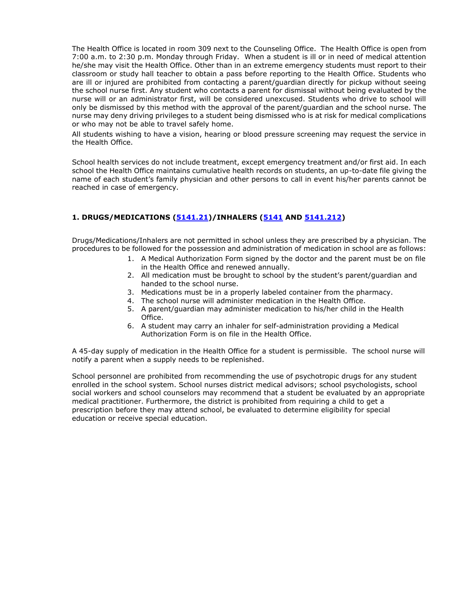The Health Office is located in room 309 next to the Counseling Office. The Health Office is open from 7:00 a.m. to 2:30 p.m. Monday through Friday. When a student is ill or in need of medical attention he/she may visit the Health Office. Other than in an extreme emergency students must report to their classroom or study hall teacher to obtain a pass before reporting to the Health Office. Students who are ill or injured are prohibited from contacting a parent/guardian directly for pickup without seeing the school nurse first. Any student who contacts a parent for dismissal without being evaluated by the nurse will or an administrator first, will be considered unexcused. Students who drive to school will only be dismissed by this method with the approval of the parent/guardian and the school nurse. The nurse may deny driving privileges to a student being dismissed who is at risk for medical complications or who may not be able to travel safely home.

All students wishing to have a vision, hearing or blood pressure screening may request the service in the Health Office.

School health services do not include treatment, except emergency treatment and/or first aid. In each school the Health Office maintains cumulative health records on students, an up-to-date file giving the name of each student's family physician and other persons to call in event his/her parents cannot be reached in case of emergency.

# <span id="page-46-0"></span>**1. DRUGS/MEDICATIONS [\(5141.21\)](https://resources.finalsite.net/images/v1573671325/amityregion5org/lwykiz5nug7iefsstcun/students_5000_5141_21_AdministeringMeds.pdf)/INHALERS [\(5141](https://resources.finalsite.net/images/v1636558582/amityregion5org/cqxmtliunkw4k3nx6uql/students_5000_5141_StudentHealthServices.pdf) AND [5141.212\)](https://resources.finalsite.net/images/v1563560239/amityregion5org/vtyjsnbtcbubjehgrwnf/students_5000_5141_212_StudentUseInhalers.pdf)**

Drugs/Medications/Inhalers are not permitted in school unless they are prescribed by a physician. The procedures to be followed for the possession and administration of medication in school are as follows:

- 1. A Medical Authorization Form signed by the doctor and the parent must be on file in the Health Office and renewed annually.
- 2. All medication must be brought to school by the student's parent/guardian and handed to the school nurse.
- 3. Medications must be in a properly labeled container from the pharmacy.
- 4. The school nurse will administer medication in the Health Office.
- 5. A parent/guardian may administer medication to his/her child in the Health Office.
- 6. A student may carry an inhaler for self-administration providing a Medical Authorization Form is on file in the Health Office.

A 45-day supply of medication in the Health Office for a student is permissible. The school nurse will notify a parent when a supply needs to be replenished.

School personnel are prohibited from recommending the use of psychotropic drugs for any student enrolled in the school system. School nurses district medical advisors; school psychologists, school social workers and school counselors may recommend that a student be evaluated by an appropriate medical practitioner. Furthermore, the district is prohibited from requiring a child to get a prescription before they may attend school, be evaluated to determine eligibility for special education or receive special education.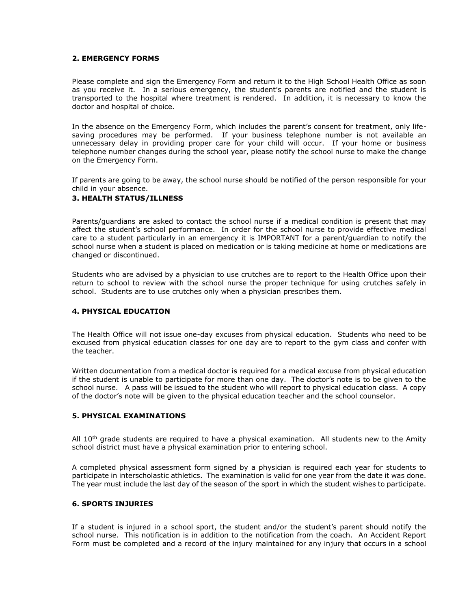## <span id="page-47-0"></span>**2. EMERGENCY FORMS**

Please complete and sign the Emergency Form and return it to the High School Health Office as soon as you receive it. In a serious emergency, the student's parents are notified and the student is transported to the hospital where treatment is rendered. In addition, it is necessary to know the doctor and hospital of choice.

In the absence on the Emergency Form, which includes the parent's consent for treatment, only lifesaving procedures may be performed. If your business telephone number is not available an unnecessary delay in providing proper care for your child will occur. If your home or business telephone number changes during the school year, please notify the school nurse to make the change on the Emergency Form.

If parents are going to be away, the school nurse should be notified of the person responsible for your child in your absence.

## <span id="page-47-1"></span>**3. HEALTH STATUS/ILLNESS**

Parents/guardians are asked to contact the school nurse if a medical condition is present that may affect the student's school performance. In order for the school nurse to provide effective medical care to a student particularly in an emergency it is IMPORTANT for a parent/guardian to notify the school nurse when a student is placed on medication or is taking medicine at home or medications are changed or discontinued.

Students who are advised by a physician to use crutches are to report to the Health Office upon their return to school to review with the school nurse the proper technique for using crutches safely in school. Students are to use crutches only when a physician prescribes them.

#### <span id="page-47-2"></span>**4. PHYSICAL EDUCATION**

The Health Office will not issue one-day excuses from physical education. Students who need to be excused from physical education classes for one day are to report to the gym class and confer with the teacher.

Written documentation from a medical doctor is required for a medical excuse from physical education if the student is unable to participate for more than one day. The doctor's note is to be given to the school nurse. A pass will be issued to the student who will report to physical education class. A copy of the doctor's note will be given to the physical education teacher and the school counselor.

## <span id="page-47-3"></span>**5. PHYSICAL EXAMINATIONS**

All  $10<sup>th</sup>$  grade students are required to have a physical examination. All students new to the Amity school district must have a physical examination prior to entering school.

A completed physical assessment form signed by a physician is required each year for students to participate in interscholastic athletics. The examination is valid for one year from the date it was done. The year must include the last day of the season of the sport in which the student wishes to participate.

## <span id="page-47-4"></span>**6. SPORTS INJURIES**

If a student is injured in a school sport, the student and/or the student's parent should notify the school nurse. This notification is in addition to the notification from the coach. An Accident Report Form must be completed and a record of the injury maintained for any injury that occurs in a school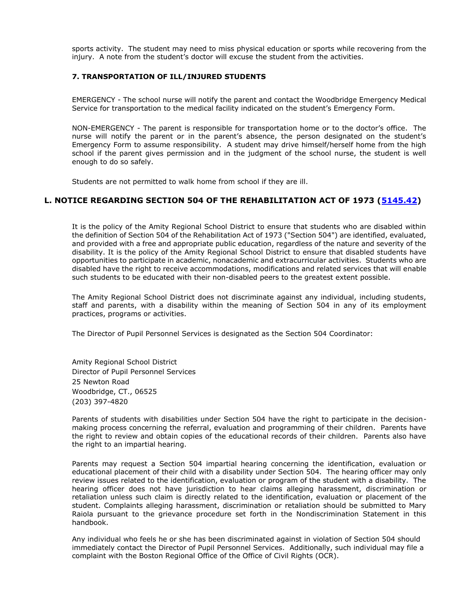sports activity. The student may need to miss physical education or sports while recovering from the injury. A note from the student's doctor will excuse the student from the activities.

## <span id="page-48-0"></span>**7. TRANSPORTATION OF ILL/INJURED STUDENTS**

EMERGENCY - The school nurse will notify the parent and contact the Woodbridge Emergency Medical Service for transportation to the medical facility indicated on the student's Emergency Form.

NON-EMERGENCY - The parent is responsible for transportation home or to the doctor's office. The nurse will notify the parent or in the parent's absence, the person designated on the student's Emergency Form to assume responsibility. A student may drive himself/herself home from the high school if the parent gives permission and in the judgment of the school nurse, the student is well enough to do so safely.

Students are not permitted to walk home from school if they are ill.

# <span id="page-48-1"></span>**L. NOTICE REGARDING SECTION 504 OF THE REHABILITATION ACT OF 1973 [\(5145.42\)](https://resources.finalsite.net/images/v1600362113/amityregion5org/aqrtwp9ztxuyrnfyqshs/Students_PRF5145_42_Section504AndTitleII_081219.pdf)**

It is the policy of the Amity Regional School District to ensure that students who are disabled within the definition of Section 504 of the Rehabilitation Act of 1973 ("Section 504") are identified, evaluated, and provided with a free and appropriate public education, regardless of the nature and severity of the disability. It is the policy of the Amity Regional School District to ensure that disabled students have opportunities to participate in academic, nonacademic and extracurricular activities. Students who are disabled have the right to receive accommodations, modifications and related services that will enable such students to be educated with their non-disabled peers to the greatest extent possible.

The Amity Regional School District does not discriminate against any individual, including students, staff and parents, with a disability within the meaning of Section 504 in any of its employment practices, programs or activities.

The Director of Pupil Personnel Services is designated as the Section 504 Coordinator:

Amity Regional School District Director of Pupil Personnel Services 25 Newton Road Woodbridge, CT., 06525 (203) 397-4820

Parents of students with disabilities under Section 504 have the right to participate in the decisionmaking process concerning the referral, evaluation and programming of their children. Parents have the right to review and obtain copies of the educational records of their children. Parents also have the right to an impartial hearing.

Parents may request a Section 504 impartial hearing concerning the identification, evaluation or educational placement of their child with a disability under Section 504. The hearing officer may only review issues related to the identification, evaluation or program of the student with a disability. The hearing officer does not have jurisdiction to hear claims alleging harassment, discrimination or retaliation unless such claim is directly related to the identification, evaluation or placement of the student. Complaints alleging harassment, discrimination or retaliation should be submitted to Mary Raiola pursuant to the grievance procedure set forth in the Nondiscrimination Statement in this handbook.

Any individual who feels he or she has been discriminated against in violation of Section 504 should immediately contact the Director of Pupil Personnel Services. Additionally, such individual may file a complaint with the Boston Regional Office of the Office of Civil Rights (OCR).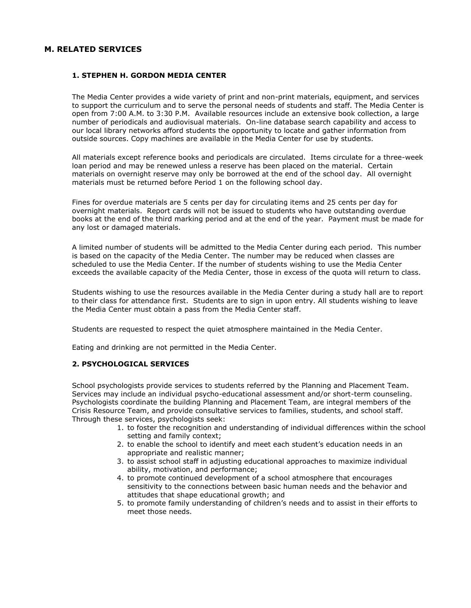## <span id="page-49-1"></span><span id="page-49-0"></span>**M. RELATED SERVICES**

## **1. STEPHEN H. GORDON MEDIA CENTER**

The Media Center provides a wide variety of print and non-print materials, equipment, and services to support the curriculum and to serve the personal needs of students and staff. The Media Center is open from 7:00 A.M. to 3:30 P.M. Available resources include an extensive book collection, a large number of periodicals and audiovisual materials. On-line database search capability and access to our local library networks afford students the opportunity to locate and gather information from outside sources. Copy machines are available in the Media Center for use by students.

All materials except reference books and periodicals are circulated. Items circulate for a three-week loan period and may be renewed unless a reserve has been placed on the material. Certain materials on overnight reserve may only be borrowed at the end of the school day. All overnight materials must be returned before Period 1 on the following school day.

Fines for overdue materials are 5 cents per day for circulating items and 25 cents per day for overnight materials. Report cards will not be issued to students who have outstanding overdue books at the end of the third marking period and at the end of the year. Payment must be made for any lost or damaged materials.

A limited number of students will be admitted to the Media Center during each period. This number is based on the capacity of the Media Center. The number may be reduced when classes are scheduled to use the Media Center. If the number of students wishing to use the Media Center exceeds the available capacity of the Media Center, those in excess of the quota will return to class.

Students wishing to use the resources available in the Media Center during a study hall are to report to their class for attendance first. Students are to sign in upon entry. All students wishing to leave the Media Center must obtain a pass from the Media Center staff.

Students are requested to respect the quiet atmosphere maintained in the Media Center.

Eating and drinking are not permitted in the Media Center.

## <span id="page-49-2"></span>**2. PSYCHOLOGICAL SERVICES**

School psychologists provide services to students referred by the Planning and Placement Team. Services may include an individual psycho-educational assessment and/or short-term counseling. Psychologists coordinate the building Planning and Placement Team, are integral members of the Crisis Resource Team, and provide consultative services to families, students, and school staff. Through these services, psychologists seek:

- 1. to foster the recognition and understanding of individual differences within the school setting and family context;
- 2. to enable the school to identify and meet each student's education needs in an appropriate and realistic manner;
- 3. to assist school staff in adjusting educational approaches to maximize individual ability, motivation, and performance;
- 4. to promote continued development of a school atmosphere that encourages sensitivity to the connections between basic human needs and the behavior and attitudes that shape educational growth; and
- 5. to promote family understanding of children's needs and to assist in their efforts to meet those needs.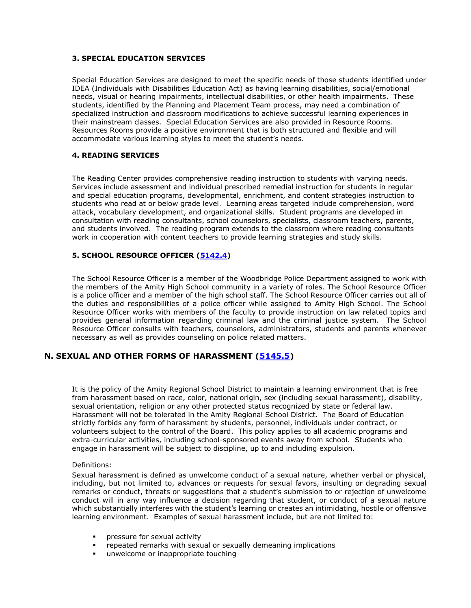## <span id="page-50-0"></span>**3. SPECIAL EDUCATION SERVICES**

Special Education Services are designed to meet the specific needs of those students identified under IDEA (Individuals with Disabilities Education Act) as having learning disabilities, social/emotional needs, visual or hearing impairments, intellectual disabilities, or other health impairments. These students, identified by the Planning and Placement Team process, may need a combination of specialized instruction and classroom modifications to achieve successful learning experiences in their mainstream classes. Special Education Services are also provided in Resource Rooms. Resources Rooms provide a positive environment that is both structured and flexible and will accommodate various learning styles to meet the student's needs.

## <span id="page-50-1"></span>**4. READING SERVICES**

The Reading Center provides comprehensive reading instruction to students with varying needs. Services include assessment and individual prescribed remedial instruction for students in regular and special education programs, developmental, enrichment, and content strategies instruction to students who read at or below grade level. Learning areas targeted include comprehension, word attack, vocabulary development, and organizational skills. Student programs are developed in consultation with reading consultants, school counselors, specialists, classroom teachers, parents, and students involved. The reading program extends to the classroom where reading consultants work in cooperation with content teachers to provide learning strategies and study skills.

## <span id="page-50-2"></span>**5. SCHOOL RESOURCE OFFICER [\(5142.4\)](https://resources.finalsite.net/images/v1636558626/amityregion5org/udwein8wwaj5a2lcsupv/students_5000_5142_4_ResourceOfficer.pdf)**

The School Resource Officer is a member of the Woodbridge Police Department assigned to work with the members of the Amity High School community in a variety of roles. The School Resource Officer is a police officer and a member of the high school staff. The School Resource Officer carries out all of the duties and responsibilities of a police officer while assigned to Amity High School. The School Resource Officer works with members of the faculty to provide instruction on law related topics and provides general information regarding criminal law and the criminal justice system. The School Resource Officer consults with teachers, counselors, administrators, students and parents whenever necessary as well as provides counseling on police related matters.

## <span id="page-50-3"></span>**N. SEXUAL AND OTHER FORMS OF HARASSMENT [\(5145.5\)](https://resources.finalsite.net/images/v1619533661/amityregion5org/wkuk4dw3cbedwv0iecht/PRF5145_5_Students_ProhibAgainstSexualHarass_091420.pdf)**

It is the policy of the Amity Regional School District to maintain a learning environment that is free from harassment based on race, color, national origin, sex (including sexual harassment), disability, sexual orientation, religion or any other protected status recognized by state or federal law. Harassment will not be tolerated in the Amity Regional School District. The Board of Education strictly forbids any form of harassment by students, personnel, individuals under contract, or volunteers subject to the control of the Board. This policy applies to all academic programs and extra-curricular activities, including school-sponsored events away from school. Students who engage in harassment will be subject to discipline, up to and including expulsion.

#### Definitions:

Sexual harassment is defined as unwelcome conduct of a sexual nature, whether verbal or physical, including, but not limited to, advances or requests for sexual favors, insulting or degrading sexual remarks or conduct, threats or suggestions that a student's submission to or rejection of unwelcome conduct will in any way influence a decision regarding that student, or conduct of a sexual nature which substantially interferes with the student's learning or creates an intimidating, hostile or offensive learning environment. Examples of sexual harassment include, but are not limited to:

- pressure for sexual activity
- repeated remarks with sexual or sexually demeaning implications
- unwelcome or inappropriate touching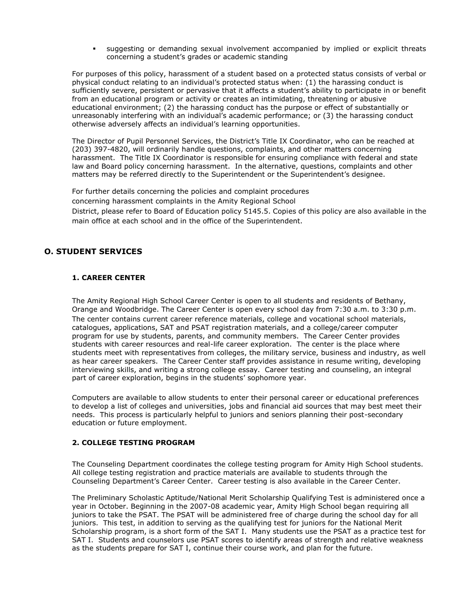suggesting or demanding sexual involvement accompanied by implied or explicit threats concerning a student's grades or academic standing

For purposes of this policy, harassment of a student based on a protected status consists of verbal or physical conduct relating to an individual's protected status when: (1) the harassing conduct is sufficiently severe, persistent or pervasive that it affects a student's ability to participate in or benefit from an educational program or activity or creates an intimidating, threatening or abusive educational environment; (2) the harassing conduct has the purpose or effect of substantially or unreasonably interfering with an individual's academic performance; or (3) the harassing conduct otherwise adversely affects an individual's learning opportunities.

The Director of Pupil Personnel Services, the District's Title IX Coordinator, who can be reached at (203) 397-4820, will ordinarily handle questions, complaints, and other matters concerning harassment. The Title IX Coordinator is responsible for ensuring compliance with federal and state law and Board policy concerning harassment. In the alternative, questions, complaints and other matters may be referred directly to the Superintendent or the Superintendent's designee.

For further details concerning the policies and complaint procedures concerning harassment complaints in the Amity Regional School District, please refer to Board of Education policy 5145.5. Copies of this policy are also available in the main office at each school and in the office of the Superintendent.

# <span id="page-51-1"></span><span id="page-51-0"></span>**O. STUDENT SERVICES**

## **1. CAREER CENTER**

The Amity Regional High School Career Center is open to all students and residents of Bethany, Orange and Woodbridge. The Career Center is open every school day from 7:30 a.m. to 3:30 p.m. The center contains current career reference materials, college and vocational school materials, catalogues, applications, SAT and PSAT registration materials, and a college/career computer program for use by students, parents, and community members. The Career Center provides students with career resources and real-life career exploration. The center is the place where students meet with representatives from colleges, the military service, business and industry, as well as hear career speakers. The Career Center staff provides assistance in resume writing, developing interviewing skills, and writing a strong college essay. Career testing and counseling, an integral part of career exploration, begins in the students' sophomore year.

Computers are available to allow students to enter their personal career or educational preferences to develop a list of colleges and universities, jobs and financial aid sources that may best meet their needs. This process is particularly helpful to juniors and seniors planning their post-secondary education or future employment.

# <span id="page-51-2"></span>**2. COLLEGE TESTING PROGRAM**

The Counseling Department coordinates the college testing program for Amity High School students. All college testing registration and practice materials are available to students through the Counseling Department's Career Center. Career testing is also available in the Career Center.

The Preliminary Scholastic Aptitude/National Merit Scholarship Qualifying Test is administered once a year in October. Beginning in the 2007-08 academic year, Amity High School began requiring all juniors to take the PSAT. The PSAT will be administered free of charge during the school day for all juniors. This test, in addition to serving as the qualifying test for juniors for the National Merit Scholarship program, is a short form of the SAT I. Many students use the PSAT as a practice test for SAT I. Students and counselors use PSAT scores to identify areas of strength and relative weakness as the students prepare for SAT I, continue their course work, and plan for the future.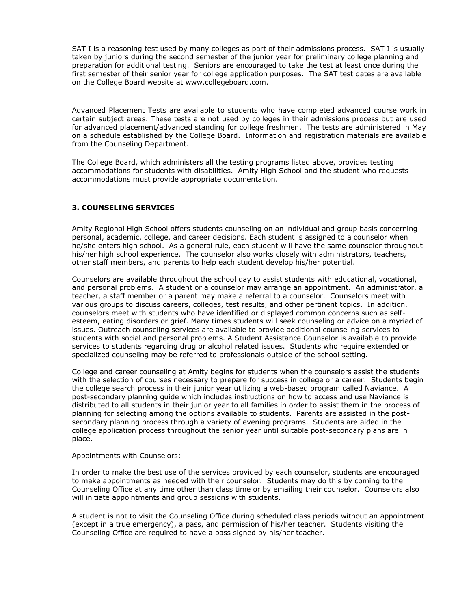SAT I is a reasoning test used by many colleges as part of their admissions process. SAT I is usually taken by juniors during the second semester of the junior year for preliminary college planning and preparation for additional testing. Seniors are encouraged to take the test at least once during the first semester of their senior year for college application purposes. The SAT test dates are available on the College Board website at www.collegeboard.com.

Advanced Placement Tests are available to students who have completed advanced course work in certain subject areas. These tests are not used by colleges in their admissions process but are used for advanced placement/advanced standing for college freshmen. The tests are administered in May on a schedule established by the College Board. Information and registration materials are available from the Counseling Department.

The College Board, which administers all the testing programs listed above, provides testing accommodations for students with disabilities. Amity High School and the student who requests accommodations must provide appropriate documentation.

## <span id="page-52-0"></span>**3. COUNSELING SERVICES**

Amity Regional High School offers students counseling on an individual and group basis concerning personal, academic, college, and career decisions. Each student is assigned to a counselor when he/she enters high school. As a general rule, each student will have the same counselor throughout his/her high school experience. The counselor also works closely with administrators, teachers, other staff members, and parents to help each student develop his/her potential.

Counselors are available throughout the school day to assist students with educational, vocational, and personal problems. A student or a counselor may arrange an appointment. An administrator, a teacher, a staff member or a parent may make a referral to a counselor. Counselors meet with various groups to discuss careers, colleges, test results, and other pertinent topics. In addition, counselors meet with students who have identified or displayed common concerns such as selfesteem, eating disorders or grief. Many times students will seek counseling or advice on a myriad of issues. Outreach counseling services are available to provide additional counseling services to students with social and personal problems. A Student Assistance Counselor is available to provide services to students regarding drug or alcohol related issues. Students who require extended or specialized counseling may be referred to professionals outside of the school setting.

College and career counseling at Amity begins for students when the counselors assist the students with the selection of courses necessary to prepare for success in college or a career. Students begin the college search process in their junior year utilizing a web-based program called Naviance. A post-secondary planning guide which includes instructions on how to access and use Naviance is distributed to all students in their junior year to all families in order to assist them in the process of planning for selecting among the options available to students. Parents are assisted in the postsecondary planning process through a variety of evening programs. Students are aided in the college application process throughout the senior year until suitable post-secondary plans are in place.

#### Appointments with Counselors:

In order to make the best use of the services provided by each counselor, students are encouraged to make appointments as needed with their counselor. Students may do this by coming to the Counseling Office at any time other than class time or by emailing their counselor. Counselors also will initiate appointments and group sessions with students.

A student is not to visit the Counseling Office during scheduled class periods without an appointment (except in a true emergency), a pass, and permission of his/her teacher. Students visiting the Counseling Office are required to have a pass signed by his/her teacher.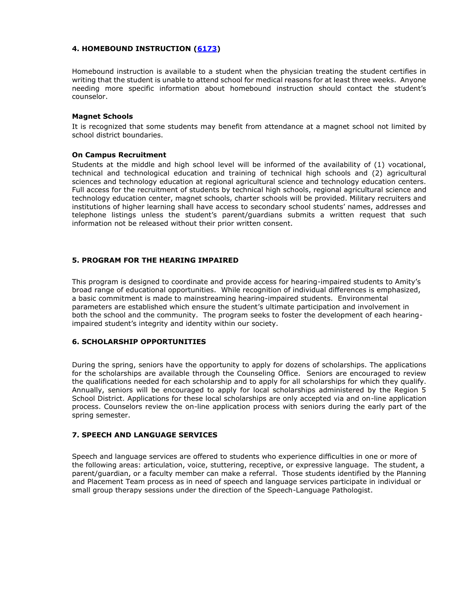## <span id="page-53-0"></span>**4. HOMEBOUND INSTRUCTION [\(6173\)](https://resources.finalsite.net/images/v1600350778/amityregion5org/vdajk2toexcjnnrmdqc2/instruction_6000_6173_Homebound.pdf)**

Homebound instruction is available to a student when the physician treating the student certifies in writing that the student is unable to attend school for medical reasons for at least three weeks. Anyone needing more specific information about homebound instruction should contact the student's counselor.

#### **Magnet Schools**

It is recognized that some students may benefit from attendance at a magnet school not limited by school district boundaries.

## **On Campus Recruitment**

Students at the middle and high school level will be informed of the availability of (1) vocational, technical and technological education and training of technical high schools and (2) agricultural sciences and technology education at regional agricultural science and technology education centers. Full access for the recruitment of students by technical high schools, regional agricultural science and technology education center, magnet schools, charter schools will be provided. Military recruiters and institutions of higher learning shall have access to secondary school students' names, addresses and telephone listings unless the student's parent/guardians submits a written request that such information not be released without their prior written consent.

## <span id="page-53-1"></span>**5. PROGRAM FOR THE HEARING IMPAIRED**

This program is designed to coordinate and provide access for hearing-impaired students to Amity's broad range of educational opportunities. While recognition of individual differences is emphasized, a basic commitment is made to mainstreaming hearing-impaired students. Environmental parameters are established which ensure the student's ultimate participation and involvement in both the school and the community. The program seeks to foster the development of each hearingimpaired student's integrity and identity within our society.

# <span id="page-53-2"></span>**6. SCHOLARSHIP OPPORTUNITIES**

During the spring, seniors have the opportunity to apply for dozens of scholarships. The applications for the scholarships are available through the Counseling Office. Seniors are encouraged to review the qualifications needed for each scholarship and to apply for all scholarships for which they qualify. Annually, seniors will be encouraged to apply for local scholarships administered by the Region 5 School District. Applications for these local scholarships are only accepted via and on-line application process. Counselors review the on-line application process with seniors during the early part of the spring semester.

# <span id="page-53-3"></span>**7. SPEECH AND LANGUAGE SERVICES**

Speech and language services are offered to students who experience difficulties in one or more of the following areas: articulation, voice, stuttering, receptive, or expressive language. The student, a parent/guardian, or a faculty member can make a referral. Those students identified by the Planning and Placement Team process as in need of speech and language services participate in individual or small group therapy sessions under the direction of the Speech-Language Pathologist.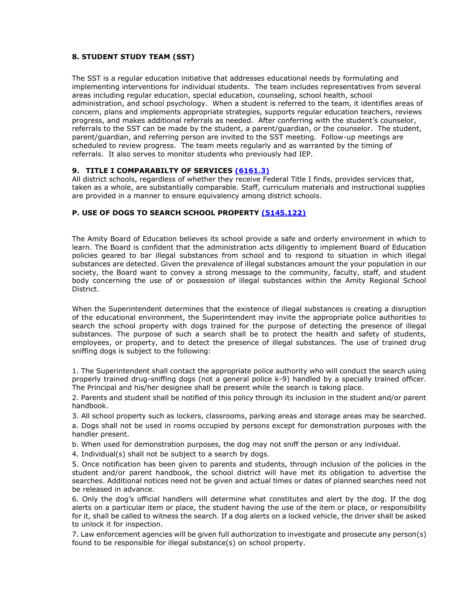## <span id="page-54-0"></span>**8. STUDENT STUDY TEAM (SST)**

The SST is a regular education initiative that addresses educational needs by formulating and implementing interventions for individual students. The team includes representatives from several areas including regular education, special education, counseling, school health, school administration, and school psychology. When a student is referred to the team, it identifies areas of concern, plans and implements appropriate strategies, supports regular education teachers, reviews progress, and makes additional referrals as needed. After conferring with the student's counselor, referrals to the SST can be made by the student, a parent/guardian, or the counselor. The student, parent/guardian, and referring person are invited to the SST meeting. Follow-up meetings are scheduled to review progress. The team meets regularly and as warranted by the timing of referrals. It also serves to monitor students who previously had IEP.

## **9. TITLE I COMPARABILTY OF SERVICES [\(6161.3\)](https://resources.finalsite.net/images/v1563719313/amityregion5org/nt10ozlfq2njwfzgbuqs/instruction_6000_6161_3_ComparabilityOfPrograms.pdf)**

All district schools, regardless of whether they receive Federal Title I finds, provides services that, taken as a whole, are substantially comparable. Staff, curriculum materials and instructional supplies are provided in a manner to ensure equivalency among district schools.

## <span id="page-54-1"></span>**P. USE OF DOGS TO SEARCH SCHOOL PROPERTY [\(5145.122\)](https://resources.finalsite.net/images/v1563560245/amityregion5org/xrqn7w42f3ujws1ttgaf/students_5000_5145_12_SearchSeizure.pdf)**

The Amity Board of Education believes its school provide a safe and orderly environment in which to learn. The Board is confident that the administration acts diligently to implement Board of Education policies geared to bar illegal substances from school and to respond to situation in which illegal substances are detected. Given the prevalence of illegal substances amount the your population in our society, the Board want to convey a strong message to the community, faculty, staff, and student body concerning the use of or possession of illegal substances within the Amity Regional School District.

When the Superintendent determines that the existence of illegal substances is creating a disruption of the educational environment, the Superintendent may invite the appropriate police authorities to search the school property with dogs trained for the purpose of detecting the presence of illegal substances. The purpose of such a search shall be to protect the health and safety of students, employees, or property, and to detect the presence of illegal substances. The use of trained drug sniffing dogs is subject to the following:

1. The Superintendent shall contact the appropriate police authority who will conduct the search using properly trained drug-sniffing dogs (not a general police k-9) handled by a specially trained officer. The Principal and his/her designee shall be present while the search is taking place.

2. Parents and student shall be notified of this policy through its inclusion in the student and/or parent handbook.

3. All school property such as lockers, classrooms, parking areas and storage areas may be searched.

a. Dogs shall not be used in rooms occupied by persons except for demonstration purposes with the handler present.

b. When used for demonstration purposes, the dog may not sniff the person or any individual.

4. Individual(s) shall not be subject to a search by dogs.

5. Once notification has been given to parents and students, through inclusion of the policies in the student and/or parent handbook, the school district will have met its obligation to advertise the searches. Additional notices need not be given and actual times or dates of planned searches need not be released in advance.

6. Only the dog's official handlers will determine what constitutes and alert by the dog. If the dog alerts on a particular item or place, the student having the use of the item or place, or responsibility for it, shall be called to witness the search. If a dog alerts on a locked vehicle, the driver shall be asked to unlock it for inspection.

7. Law enforcement agencies will be given full authorization to investigate and prosecute any person(s) found to be responsible for illegal substance(s) on school property.